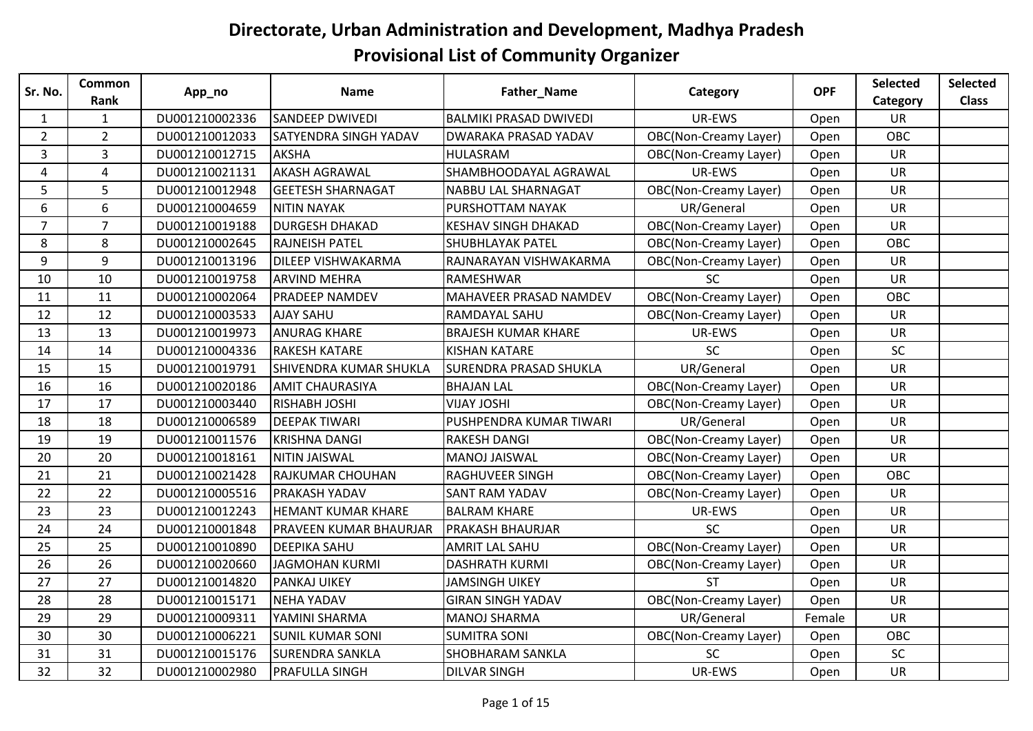| Sr. No.        | <b>Common</b>  | App_no         | <b>Name</b>                   | Father_Name                   | Category                     | <b>OPF</b> | Selected   | <b>Selected</b> |
|----------------|----------------|----------------|-------------------------------|-------------------------------|------------------------------|------------|------------|-----------------|
|                | Rank           |                |                               |                               |                              |            | Category   | <b>Class</b>    |
| $\mathbf{1}$   | $\mathbf{1}$   | DU001210002336 | <b>SANDEEP DWIVEDI</b>        | <b>BALMIKI PRASAD DWIVEDI</b> | UR-EWS                       | Open       | <b>UR</b>  |                 |
| $\overline{2}$ | $\overline{2}$ | DU001210012033 | <b>SATYENDRA SINGH YADAV</b>  | <b>DWARAKA PRASAD YADAV</b>   | <b>OBC(Non-Creamy Layer)</b> | Open       | <b>OBC</b> |                 |
| 3              | 3              | DU001210012715 | AKSHA                         | <b>HULASRAM</b>               | <b>OBC(Non-Creamy Layer)</b> | Open       | <b>UR</b>  |                 |
| 4              | $\overline{4}$ | DU001210021131 | <b>AKASH AGRAWAL</b>          | SHAMBHOODAYAL AGRAWAL         | UR-EWS                       | Open       | UR         |                 |
| 5              | 5              | DU001210012948 | <b>GEETESH SHARNAGAT</b>      | NABBU LAL SHARNAGAT           | <b>OBC(Non-Creamy Layer)</b> | Open       | <b>UR</b>  |                 |
| 6              | 6              | DU001210004659 | <b>NITIN NAYAK</b>            | PURSHOTTAM NAYAK              | UR/General                   | Open       | UR         |                 |
| $\overline{7}$ | $\overline{7}$ | DU001210019188 | <b>DURGESH DHAKAD</b>         | <b>KESHAV SINGH DHAKAD</b>    | <b>OBC(Non-Creamy Layer)</b> | Open       | UR         |                 |
| 8              | 8              | DU001210002645 | <b>RAJNEISH PATEL</b>         | <b>SHUBHLAYAK PATEL</b>       | <b>OBC(Non-Creamy Layer)</b> | Open       | OBC        |                 |
| 9              | 9              | DU001210013196 | <b>DILEEP VISHWAKARMA</b>     | RAJNARAYAN VISHWAKARMA        | <b>OBC(Non-Creamy Layer)</b> | Open       | <b>UR</b>  |                 |
| 10             | 10             | DU001210019758 | <b>ARVIND MEHRA</b>           | RAMESHWAR                     | SC                           | Open       | UR         |                 |
| 11             | 11             | DU001210002064 | <b>PRADEEP NAMDEV</b>         | <b>MAHAVEER PRASAD NAMDEV</b> | <b>OBC(Non-Creamy Layer)</b> | Open       | OBC        |                 |
| 12             | 12             | DU001210003533 | <b>AJAY SAHU</b>              | RAMDAYAL SAHU                 | <b>OBC(Non-Creamy Layer)</b> | Open       | <b>UR</b>  |                 |
| 13             | 13             | DU001210019973 | <b>ANURAG KHARE</b>           | <b>BRAJESH KUMAR KHARE</b>    | UR-EWS                       | Open       | UR         |                 |
| 14             | 14             | DU001210004336 | <b>RAKESH KATARE</b>          | <b>KISHAN KATARE</b>          | SC                           | Open       | SC         |                 |
| 15             | 15             | DU001210019791 | SHIVENDRA KUMAR SHUKLA        | <b>SURENDRA PRASAD SHUKLA</b> | UR/General                   | Open       | UR         |                 |
| 16             | 16             | DU001210020186 | <b>AMIT CHAURASIYA</b>        | <b>BHAJAN LAL</b>             | <b>OBC(Non-Creamy Layer)</b> | Open       | UR         |                 |
| 17             | 17             | DU001210003440 | <b>RISHABH JOSHI</b>          | <b>VIJAY JOSHI</b>            | <b>OBC(Non-Creamy Layer)</b> | Open       | <b>UR</b>  |                 |
| 18             | 18             | DU001210006589 | <b>DEEPAK TIWARI</b>          | PUSHPENDRA KUMAR TIWARI       | UR/General                   | Open       | UR         |                 |
| 19             | 19             | DU001210011576 | <b>KRISHNA DANGI</b>          | <b>RAKESH DANGI</b>           | <b>OBC(Non-Creamy Layer)</b> | Open       | <b>UR</b>  |                 |
| 20             | 20             | DU001210018161 | NITIN JAISWAL                 | <b>MANOJ JAISWAL</b>          | <b>OBC(Non-Creamy Layer)</b> | Open       | <b>UR</b>  |                 |
| 21             | 21             | DU001210021428 | <b>RAJKUMAR CHOUHAN</b>       | <b>RAGHUVEER SINGH</b>        | <b>OBC(Non-Creamy Layer)</b> | Open       | OBC        |                 |
| 22             | 22             | DU001210005516 | <b>PRAKASH YADAV</b>          | <b>SANT RAM YADAV</b>         | <b>OBC(Non-Creamy Layer)</b> | Open       | <b>UR</b>  |                 |
| 23             | 23             | DU001210012243 | <b>HEMANT KUMAR KHARE</b>     | <b>BALRAM KHARE</b>           | UR-EWS                       | Open       | UR         |                 |
| 24             | 24             | DU001210001848 | <b>PRAVEEN KUMAR BHAURJAR</b> | <b>PRAKASH BHAURJAR</b>       | SC                           | Open       | <b>UR</b>  |                 |
| 25             | 25             | DU001210010890 | <b>DEEPIKA SAHU</b>           | <b>AMRIT LAL SAHU</b>         | <b>OBC(Non-Creamy Layer)</b> | Open       | <b>UR</b>  |                 |
| 26             | 26             | DU001210020660 | <b>JAGMOHAN KURMI</b>         | <b>DASHRATH KURMI</b>         | <b>OBC(Non-Creamy Layer)</b> | Open       | UR         |                 |
| 27             | 27             | DU001210014820 | <b>PANKAJ UIKEY</b>           | <b>JAMSINGH UIKEY</b>         | <b>ST</b>                    | Open       | <b>UR</b>  |                 |
| 28             | 28             | DU001210015171 | <b>NEHA YADAV</b>             | <b>GIRAN SINGH YADAV</b>      | <b>OBC(Non-Creamy Layer)</b> | Open       | <b>UR</b>  |                 |
| 29             | 29             | DU001210009311 | YAMINI SHARMA                 | <b>MANOJ SHARMA</b>           | UR/General                   | Female     | <b>UR</b>  |                 |
| 30             | 30             | DU001210006221 | <b>SUNIL KUMAR SONI</b>       | <b>SUMITRA SONI</b>           | <b>OBC(Non-Creamy Layer)</b> | Open       | OBC        |                 |
| 31             | 31             | DU001210015176 | <b>SURENDRA SANKLA</b>        | SHOBHARAM SANKLA              | SC                           | Open       | SC         |                 |
| 32             | 32             | DU001210002980 | <b>PRAFULLA SINGH</b>         | <b>DILVAR SINGH</b>           | UR-EWS                       | Open       | UR         |                 |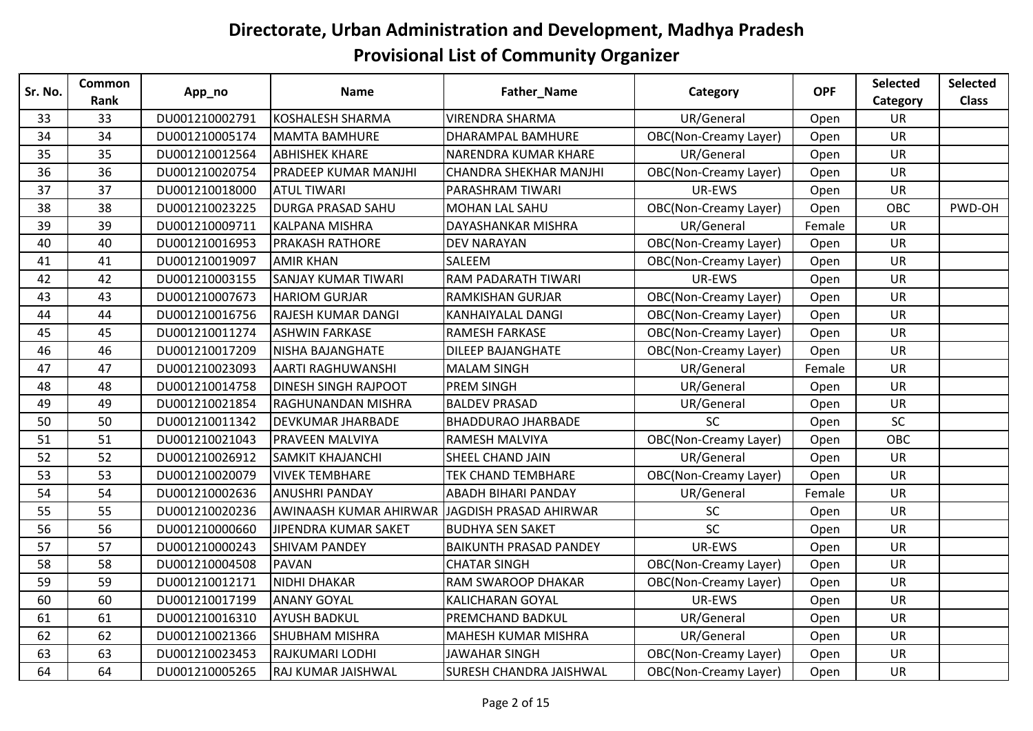| Sr. No. | Common<br>Rank | App_no         | <b>Name</b>                 | Father_Name                    | Category                     | <b>OPF</b> | <b>Selected</b><br>Category | <b>Selected</b><br><b>Class</b> |
|---------|----------------|----------------|-----------------------------|--------------------------------|------------------------------|------------|-----------------------------|---------------------------------|
| 33      | 33             | DU001210002791 | <b>KOSHALESH SHARMA</b>     | <b>VIRENDRA SHARMA</b>         | UR/General                   | Open       | <b>UR</b>                   |                                 |
| 34      | 34             | DU001210005174 | MAMTA BAMHURE               | <b>DHARAMPAL BAMHURE</b>       | <b>OBC(Non-Creamy Layer)</b> | Open       | <b>UR</b>                   |                                 |
| 35      | 35             | DU001210012564 | <b>ABHISHEK KHARE</b>       | NARENDRA KUMAR KHARE           | UR/General                   | Open       | <b>UR</b>                   |                                 |
| 36      | 36             | DU001210020754 | <b>PRADEEP KUMAR MANJHI</b> | <b>CHANDRA SHEKHAR MANJHI</b>  | <b>OBC(Non-Creamy Layer)</b> | Open       | <b>UR</b>                   |                                 |
| 37      | 37             | DU001210018000 | <b>ATUL TIWARI</b>          | PARASHRAM TIWARI               | UR-EWS                       | Open       | <b>UR</b>                   |                                 |
| 38      | 38             | DU001210023225 | <b>DURGA PRASAD SAHU</b>    | <b>MOHAN LAL SAHU</b>          | <b>OBC(Non-Creamy Layer)</b> | Open       | OBC                         | PWD-OH                          |
| 39      | 39             | DU001210009711 | <b>KALPANA MISHRA</b>       | <b>DAYASHANKAR MISHRA</b>      | UR/General                   | Female     | <b>UR</b>                   |                                 |
| 40      | 40             | DU001210016953 | <b>PRAKASH RATHORE</b>      | <b>DEV NARAYAN</b>             | <b>OBC(Non-Creamy Layer)</b> | Open       | <b>UR</b>                   |                                 |
| 41      | 41             | DU001210019097 | <b>AMIR KHAN</b>            | SALEEM                         | <b>OBC(Non-Creamy Layer)</b> | Open       | UR                          |                                 |
| 42      | 42             | DU001210003155 | <b>SANJAY KUMAR TIWARI</b>  | <b>RAM PADARATH TIWARI</b>     | UR-EWS                       | Open       | <b>UR</b>                   |                                 |
| 43      | 43             | DU001210007673 | <b>HARIOM GURJAR</b>        | <b>RAMKISHAN GURJAR</b>        | <b>OBC(Non-Creamy Layer)</b> | Open       | <b>UR</b>                   |                                 |
| 44      | 44             | DU001210016756 | <b>RAJESH KUMAR DANGI</b>   | <b>KANHAIYALAL DANGI</b>       | <b>OBC(Non-Creamy Layer)</b> | Open       | <b>UR</b>                   |                                 |
| 45      | 45             | DU001210011274 | <b>ASHWIN FARKASE</b>       | <b>RAMESH FARKASE</b>          | <b>OBC(Non-Creamy Layer)</b> | Open       | <b>UR</b>                   |                                 |
| 46      | 46             | DU001210017209 | <b>NISHA BAJANGHATE</b>     | <b>DILEEP BAJANGHATE</b>       | OBC(Non-Creamy Layer)        | Open       | <b>UR</b>                   |                                 |
| 47      | 47             | DU001210023093 | <b>AARTI RAGHUWANSHI</b>    | <b>MALAM SINGH</b>             | UR/General                   | Female     | <b>UR</b>                   |                                 |
| 48      | 48             | DU001210014758 | <b>DINESH SINGH RAJPOOT</b> | <b>PREM SINGH</b>              | UR/General                   | Open       | <b>UR</b>                   |                                 |
| 49      | 49             | DU001210021854 | RAGHUNANDAN MISHRA          | <b>BALDEV PRASAD</b>           | UR/General                   | Open       | UR                          |                                 |
| 50      | 50             | DU001210011342 | <b>DEVKUMAR JHARBADE</b>    | <b>BHADDURAO JHARBADE</b>      | <b>SC</b>                    | Open       | SC                          |                                 |
| 51      | 51             | DU001210021043 | <b>PRAVEEN MALVIYA</b>      | <b>RAMESH MALVIYA</b>          | <b>OBC(Non-Creamy Layer)</b> | Open       | OBC                         |                                 |
| 52      | 52             | DU001210026912 | <b>SAMKIT KHAJANCHI</b>     | <b>SHEEL CHAND JAIN</b>        | UR/General                   | Open       | <b>UR</b>                   |                                 |
| 53      | 53             | DU001210020079 | <b>VIVEK TEMBHARE</b>       | <b>TEK CHAND TEMBHARE</b>      | <b>OBC(Non-Creamy Layer)</b> | Open       | <b>UR</b>                   |                                 |
| 54      | 54             | DU001210002636 | <b>ANUSHRI PANDAY</b>       | <b>ABADH BIHARI PANDAY</b>     | UR/General                   | Female     | <b>UR</b>                   |                                 |
| 55      | 55             | DU001210020236 | AWINAASH KUMAR AHIRWAR      | JAGDISH PRASAD AHIRWAR         | <b>SC</b>                    | Open       | <b>UR</b>                   |                                 |
| 56      | 56             | DU001210000660 | JIPENDRA KUMAR SAKET        | <b>BUDHYA SEN SAKET</b>        | <b>SC</b>                    | Open       | <b>UR</b>                   |                                 |
| 57      | 57             | DU001210000243 | <b>SHIVAM PANDEY</b>        | <b>BAIKUNTH PRASAD PANDEY</b>  | UR-EWS                       | Open       | UR                          |                                 |
| 58      | 58             | DU001210004508 | PAVAN                       | <b>CHATAR SINGH</b>            | <b>OBC(Non-Creamy Layer)</b> | Open       | <b>UR</b>                   |                                 |
| 59      | 59             | DU001210012171 | <b>NIDHI DHAKAR</b>         | <b>RAM SWAROOP DHAKAR</b>      | <b>OBC(Non-Creamy Layer)</b> | Open       | <b>UR</b>                   |                                 |
| 60      | 60             | DU001210017199 | <b>ANANY GOYAL</b>          | <b>KALICHARAN GOYAL</b>        | UR-EWS                       | Open       | <b>UR</b>                   |                                 |
| 61      | 61             | DU001210016310 | <b>AYUSH BADKUL</b>         | <b>PREMCHAND BADKUL</b>        | UR/General                   | Open       | <b>UR</b>                   |                                 |
| 62      | 62             | DU001210021366 | <b>SHUBHAM MISHRA</b>       | <b>MAHESH KUMAR MISHRA</b>     | UR/General                   | Open       | <b>UR</b>                   |                                 |
| 63      | 63             | DU001210023453 | RAJKUMARI LODHI             | <b>JAWAHAR SINGH</b>           | <b>OBC(Non-Creamy Layer)</b> | Open       | <b>UR</b>                   |                                 |
| 64      | 64             | DU001210005265 | RAJ KUMAR JAISHWAL          | <b>SURESH CHANDRA JAISHWAL</b> | <b>OBC(Non-Creamy Layer)</b> | Open       | UR                          |                                 |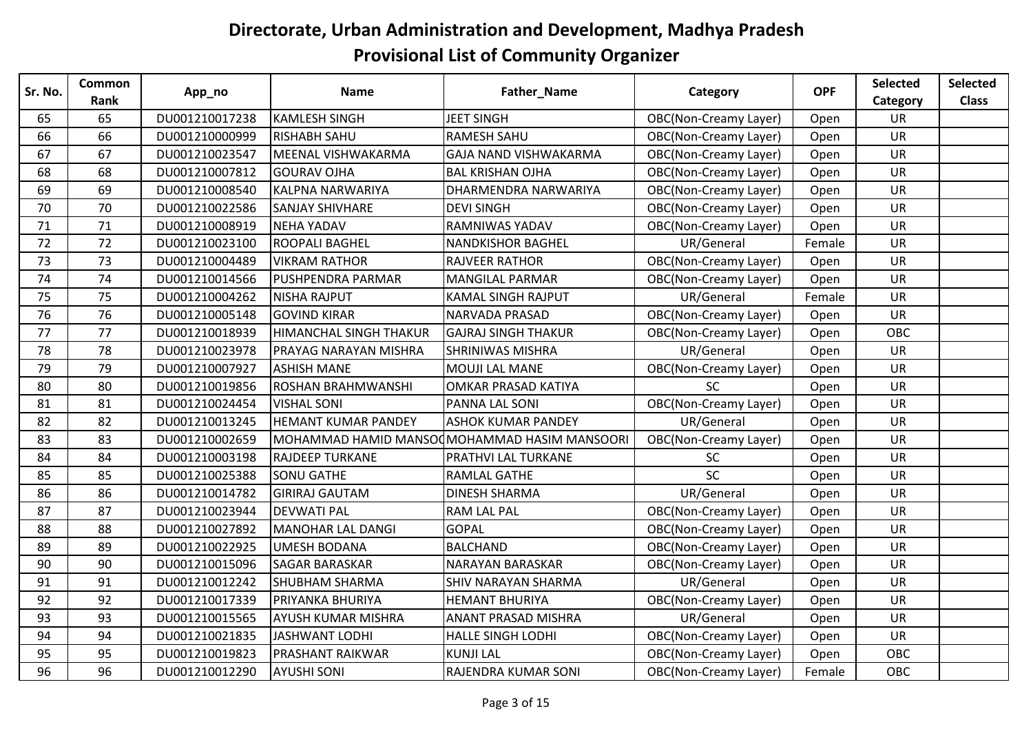| Sr. No. | <b>Common</b> | App_no         | <b>Name</b>                   | Father_Name                                  | Category                     | <b>OPF</b> | Selected   | <b>Selected</b> |
|---------|---------------|----------------|-------------------------------|----------------------------------------------|------------------------------|------------|------------|-----------------|
|         | Rank          |                |                               |                                              |                              |            | Category   | <b>Class</b>    |
| 65      | 65            | DU001210017238 | <b>KAMLESH SINGH</b>          | <b>JEET SINGH</b>                            | <b>OBC(Non-Creamy Layer)</b> | Open       | <b>UR</b>  |                 |
| 66      | 66            | DU001210000999 | <b>RISHABH SAHU</b>           | <b>RAMESH SAHU</b>                           | <b>OBC(Non-Creamy Layer)</b> | Open       | <b>UR</b>  |                 |
| 67      | 67            | DU001210023547 | MEENAL VISHWAKARMA            | <b>GAJA NAND VISHWAKARMA</b>                 | <b>OBC(Non-Creamy Layer)</b> | Open       | <b>UR</b>  |                 |
| 68      | 68            | DU001210007812 | <b>GOURAV OJHA</b>            | <b>BAL KRISHAN OJHA</b>                      | <b>OBC(Non-Creamy Layer)</b> | Open       | <b>UR</b>  |                 |
| 69      | 69            | DU001210008540 | <b>KALPNA NARWARIYA</b>       | DHARMENDRA NARWARIYA                         | OBC(Non-Creamy Layer)        | Open       | UR         |                 |
| 70      | 70            | DU001210022586 | <b>SANJAY SHIVHARE</b>        | <b>DEVI SINGH</b>                            | <b>OBC(Non-Creamy Layer)</b> | Open       | <b>UR</b>  |                 |
| 71      | 71            | DU001210008919 | <b>NEHA YADAV</b>             | <b>RAMNIWAS YADAV</b>                        | <b>OBC(Non-Creamy Layer)</b> | Open       | UR         |                 |
| 72      | 72            | DU001210023100 | <b>ROOPALI BAGHEL</b>         | <b>NANDKISHOR BAGHEL</b>                     | UR/General                   | Female     | <b>UR</b>  |                 |
| 73      | 73            | DU001210004489 | <b>VIKRAM RATHOR</b>          | <b>RAJVEER RATHOR</b>                        | <b>OBC(Non-Creamy Layer)</b> | Open       | UR         |                 |
| 74      | 74            | DU001210014566 | <b>PUSHPENDRA PARMAR</b>      | <b>MANGILAL PARMAR</b>                       | <b>OBC(Non-Creamy Layer)</b> | Open       | <b>UR</b>  |                 |
| 75      | 75            | DU001210004262 | <b>NISHA RAJPUT</b>           | <b>KAMAL SINGH RAJPUT</b>                    | UR/General                   | Female     | <b>UR</b>  |                 |
| 76      | 76            | DU001210005148 | <b>GOVIND KIRAR</b>           | NARVADA PRASAD                               | <b>OBC(Non-Creamy Layer)</b> | Open       | UR         |                 |
| 77      | 77            | DU001210018939 | <b>HIMANCHAL SINGH THAKUR</b> | <b>GAJRAJ SINGH THAKUR</b>                   | <b>OBC(Non-Creamy Layer)</b> | Open       | <b>OBC</b> |                 |
| 78      | 78            | DU001210023978 | <b>PRAYAG NARAYAN MISHRA</b>  | <b>SHRINIWAS MISHRA</b>                      | UR/General                   | Open       | UR         |                 |
| 79      | 79            | DU001210007927 | <b>ASHISH MANE</b>            | <b>MOUJI LAL MANE</b>                        | <b>OBC(Non-Creamy Layer)</b> | Open       | <b>UR</b>  |                 |
| 80      | 80            | DU001210019856 | <b>ROSHAN BRAHMWANSHI</b>     | OMKAR PRASAD KATIYA                          | SC                           | Open       | UR         |                 |
| 81      | 81            | DU001210024454 | <b>VISHAL SONI</b>            | <b>PANNA LAL SONI</b>                        | <b>OBC(Non-Creamy Layer)</b> | Open       | UR         |                 |
| 82      | 82            | DU001210013245 | <b>HEMANT KUMAR PANDEY</b>    | <b>ASHOK KUMAR PANDEY</b>                    | UR/General                   | Open       | <b>UR</b>  |                 |
| 83      | 83            | DU001210002659 |                               | MOHAMMAD HAMID MANSOOMOHAMMAD HASIM MANSOORI | <b>OBC(Non-Creamy Layer)</b> | Open       | <b>UR</b>  |                 |
| 84      | 84            | DU001210003198 | <b>RAJDEEP TURKANE</b>        | PRATHVI LAL TURKANE                          | SC                           | Open       | UR         |                 |
| 85      | 85            | DU001210025388 | <b>SONU GATHE</b>             | <b>RAMLAL GATHE</b>                          | SC                           | Open       | <b>UR</b>  |                 |
| 86      | 86            | DU001210014782 | <b>GIRIRAJ GAUTAM</b>         | <b>DINESH SHARMA</b>                         | UR/General                   | Open       | UR         |                 |
| 87      | 87            | DU001210023944 | <b>DEVWATI PAL</b>            | <b>RAM LAL PAL</b>                           | <b>OBC(Non-Creamy Layer)</b> | Open       | <b>UR</b>  |                 |
| 88      | 88            | DU001210027892 | MANOHAR LAL DANGI             | <b>GOPAL</b>                                 | <b>OBC(Non-Creamy Layer)</b> | Open       | UR         |                 |
| 89      | 89            | DU001210022925 | <b>UMESH BODANA</b>           | <b>BALCHAND</b>                              | <b>OBC(Non-Creamy Layer)</b> | Open       | UR         |                 |
| 90      | 90            | DU001210015096 | <b>SAGAR BARASKAR</b>         | <b>NARAYAN BARASKAR</b>                      | <b>OBC(Non-Creamy Layer)</b> | Open       | <b>UR</b>  |                 |
| 91      | 91            | DU001210012242 | <b>SHUBHAM SHARMA</b>         | <b>SHIV NARAYAN SHARMA</b>                   | UR/General                   | Open       | UR         |                 |
| 92      | 92            | DU001210017339 | PRIYANKA BHURIYA              | <b>HEMANT BHURIYA</b>                        | <b>OBC(Non-Creamy Layer)</b> | Open       | UR         |                 |
| 93      | 93            | DU001210015565 | <b>AYUSH KUMAR MISHRA</b>     | <b>ANANT PRASAD MISHRA</b>                   | UR/General                   | Open       | <b>UR</b>  |                 |
| 94      | 94            | DU001210021835 | <b>JASHWANT LODHI</b>         | <b>HALLE SINGH LODHI</b>                     | <b>OBC(Non-Creamy Layer)</b> | Open       | UR         |                 |
| 95      | 95            | DU001210019823 | PRASHANT RAIKWAR              | <b>KUNJI LAL</b>                             | <b>OBC(Non-Creamy Layer)</b> | Open       | OBC        |                 |
| 96      | 96            | DU001210012290 | <b>AYUSHI SONI</b>            | RAJENDRA KUMAR SONI                          | <b>OBC(Non-Creamy Layer)</b> | Female     | OBC        |                 |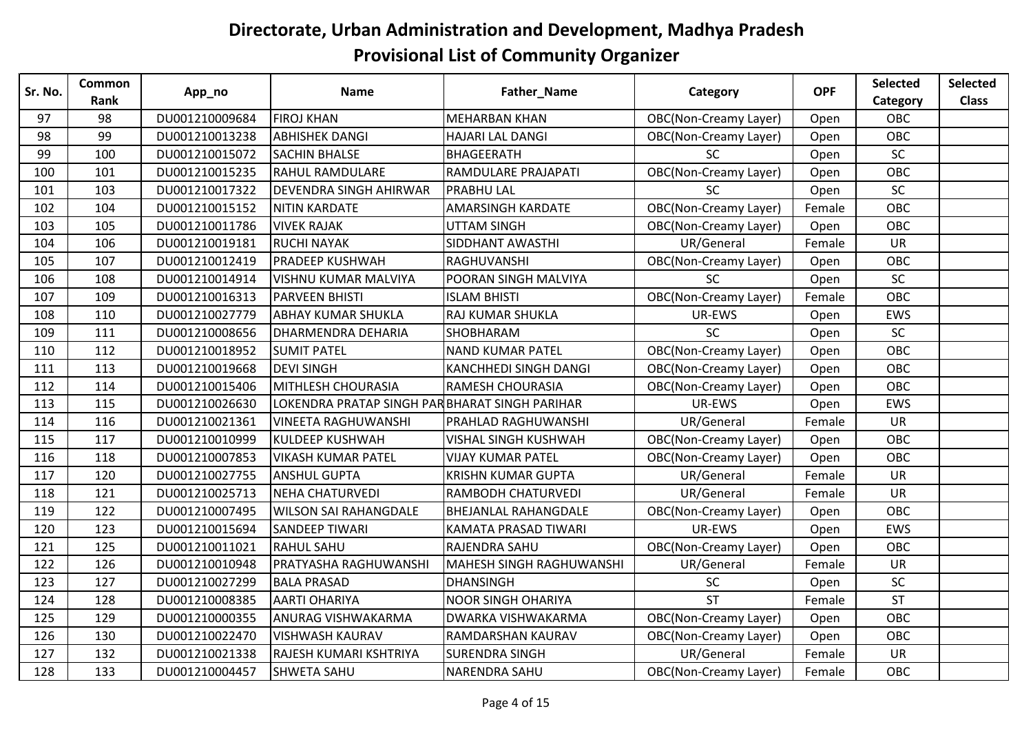| Sr. No. | Common | App_no         | <b>Name</b>                                   | Father_Name                     | Category                     | <b>OPF</b> | Selected   | <b>Selected</b> |
|---------|--------|----------------|-----------------------------------------------|---------------------------------|------------------------------|------------|------------|-----------------|
|         | Rank   |                |                                               |                                 |                              |            | Category   | <b>Class</b>    |
| 97      | 98     | DU001210009684 | <b>FIROJ KHAN</b>                             | <b>MEHARBAN KHAN</b>            | <b>OBC(Non-Creamy Layer)</b> | Open       | OBC        |                 |
| 98      | 99     | DU001210013238 | <b>ABHISHEK DANGI</b>                         | <b>HAJARI LAL DANGI</b>         | <b>OBC(Non-Creamy Layer)</b> | Open       | <b>OBC</b> |                 |
| 99      | 100    | DU001210015072 | <b>SACHIN BHALSE</b>                          | <b>BHAGEERATH</b>               | <b>SC</b>                    | Open       | SC         |                 |
| 100     | 101    | DU001210015235 | <b>RAHUL RAMDULARE</b>                        | <b>RAMDULARE PRAJAPATI</b>      | <b>OBC(Non-Creamy Layer)</b> | Open       | OBC        |                 |
| 101     | 103    | DU001210017322 | <b>DEVENDRA SINGH AHIRWAR</b>                 | <b>PRABHU LAL</b>               | <b>SC</b>                    | Open       | SC         |                 |
| 102     | 104    | DU001210015152 | <b>NITIN KARDATE</b>                          | <b>AMARSINGH KARDATE</b>        | <b>OBC(Non-Creamy Layer)</b> | Female     | OBC        |                 |
| 103     | 105    | DU001210011786 | <b>VIVEK RAJAK</b>                            | <b>UTTAM SINGH</b>              | <b>OBC(Non-Creamy Layer)</b> | Open       | OBC        |                 |
| 104     | 106    | DU001210019181 | <b>RUCHI NAYAK</b>                            | SIDDHANT AWASTHI                | UR/General                   | Female     | <b>UR</b>  |                 |
| 105     | 107    | DU001210012419 | <b>PRADEEP KUSHWAH</b>                        | <b>RAGHUVANSHI</b>              | <b>OBC(Non-Creamy Layer)</b> | Open       | <b>OBC</b> |                 |
| 106     | 108    | DU001210014914 | <b>VISHNU KUMAR MALVIYA</b>                   | POORAN SINGH MALVIYA            | <b>SC</b>                    | Open       | <b>SC</b>  |                 |
| 107     | 109    | DU001210016313 | <b>PARVEEN BHISTI</b>                         | <b>ISLAM BHISTI</b>             | <b>OBC(Non-Creamy Layer)</b> | Female     | OBC        |                 |
| 108     | 110    | DU001210027779 | <b>ABHAY KUMAR SHUKLA</b>                     | RAJ KUMAR SHUKLA                | UR-EWS                       | Open       | EWS        |                 |
| 109     | 111    | DU001210008656 | <b>DHARMENDRA DEHARIA</b>                     | SHOBHARAM                       | <b>SC</b>                    | Open       | SC         |                 |
| 110     | 112    | DU001210018952 | <b>SUMIT PATEL</b>                            | <b>NAND KUMAR PATEL</b>         | <b>OBC(Non-Creamy Layer)</b> | Open       | OBC        |                 |
| 111     | 113    | DU001210019668 | <b>DEVI SINGH</b>                             | <b>KANCHHEDI SINGH DANGI</b>    | <b>OBC(Non-Creamy Layer)</b> | Open       | OBC        |                 |
| 112     | 114    | DU001210015406 | <b>MITHLESH CHOURASIA</b>                     | <b>RAMESH CHOURASIA</b>         | <b>OBC(Non-Creamy Layer)</b> | Open       | OBC        |                 |
| 113     | 115    | DU001210026630 | LOKENDRA PRATAP SINGH PARBHARAT SINGH PARIHAR |                                 | UR-EWS                       | Open       | EWS        |                 |
| 114     | 116    | DU001210021361 | <b>VINEETA RAGHUWANSHI</b>                    | PRAHLAD RAGHUWANSHI             | UR/General                   | Female     | <b>UR</b>  |                 |
| 115     | 117    | DU001210010999 | <b>KULDEEP KUSHWAH</b>                        | <b>VISHAL SINGH KUSHWAH</b>     | <b>OBC(Non-Creamy Layer)</b> | Open       | OBC        |                 |
| 116     | 118    | DU001210007853 | <b>VIKASH KUMAR PATEL</b>                     | <b>VIJAY KUMAR PATEL</b>        | <b>OBC(Non-Creamy Layer)</b> | Open       | OBC        |                 |
| 117     | 120    | DU001210027755 | <b>ANSHUL GUPTA</b>                           | <b>KRISHN KUMAR GUPTA</b>       | UR/General                   | Female     | <b>UR</b>  |                 |
| 118     | 121    | DU001210025713 | <b>NEHA CHATURVEDI</b>                        | RAMBODH CHATURVEDI              | UR/General                   | Female     | <b>UR</b>  |                 |
| 119     | 122    | DU001210007495 | <b>WILSON SAI RAHANGDALE</b>                  | <b>BHEJANLAL RAHANGDALE</b>     | <b>OBC(Non-Creamy Layer)</b> | Open       | OBC        |                 |
| 120     | 123    | DU001210015694 | <b>SANDEEP TIWARI</b>                         | KAMATA PRASAD TIWARI            | UR-EWS                       | Open       | EWS        |                 |
| 121     | 125    | DU001210011021 | <b>RAHUL SAHU</b>                             | RAJENDRA SAHU                   | <b>OBC(Non-Creamy Layer)</b> | Open       | OBC        |                 |
| 122     | 126    | DU001210010948 | PRATYASHA RAGHUWANSHI                         | <b>MAHESH SINGH RAGHUWANSHI</b> | UR/General                   | Female     | <b>UR</b>  |                 |
| 123     | 127    | DU001210027299 | <b>BALA PRASAD</b>                            | <b>DHANSINGH</b>                | SC                           | Open       | SC         |                 |
| 124     | 128    | DU001210008385 | <b>AARTI OHARIYA</b>                          | <b>NOOR SINGH OHARIYA</b>       | <b>ST</b>                    | Female     | <b>ST</b>  |                 |
| 125     | 129    | DU001210000355 | <b>ANURAG VISHWAKARMA</b>                     | <b>DWARKA VISHWAKARMA</b>       | <b>OBC(Non-Creamy Layer)</b> | Open       | OBC        |                 |
| 126     | 130    | DU001210022470 | <b>VISHWASH KAURAV</b>                        | RAMDARSHAN KAURAV               | <b>OBC(Non-Creamy Layer)</b> | Open       | OBC        |                 |
| 127     | 132    | DU001210021338 | RAJESH KUMARI KSHTRIYA                        | <b>SURENDRA SINGH</b>           | UR/General                   | Female     | <b>UR</b>  |                 |
| 128     | 133    | DU001210004457 | <b>SHWETA SAHU</b>                            | <b>NARENDRA SAHU</b>            | <b>OBC(Non-Creamy Layer)</b> | Female     | OBC        |                 |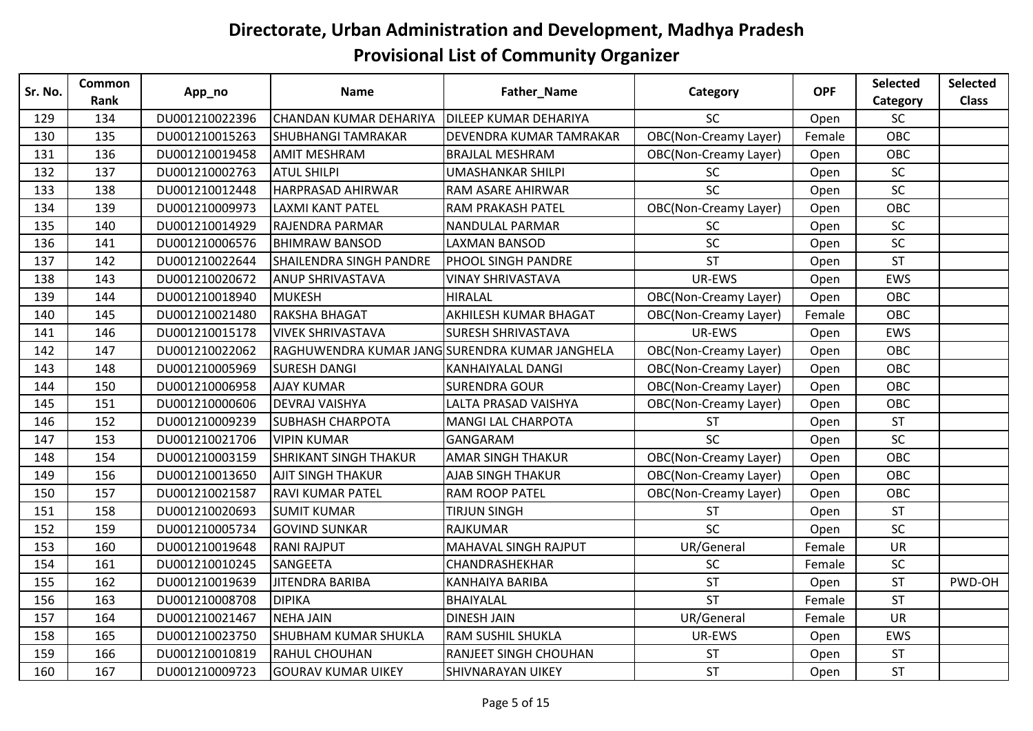| Sr. No.    | Common     | App_no                           | <b>Name</b>                                         | Father_Name                                             | Category                           | <b>OPF</b> | Selected         | <b>Selected</b> |
|------------|------------|----------------------------------|-----------------------------------------------------|---------------------------------------------------------|------------------------------------|------------|------------------|-----------------|
|            | Rank       |                                  |                                                     |                                                         |                                    |            | Category         | <b>Class</b>    |
| 129<br>130 | 134<br>135 | DU001210022396<br>DU001210015263 | CHANDAN KUMAR DEHARIYA<br><b>SHUBHANGI TAMRAKAR</b> | <b>DILEEP KUMAR DEHARIYA</b><br>DEVENDRA KUMAR TAMRAKAR | SC<br><b>OBC(Non-Creamy Layer)</b> | Open       | <b>SC</b><br>OBC |                 |
|            |            |                                  |                                                     |                                                         |                                    | Female     |                  |                 |
| 131        | 136        | DU001210019458                   | <b>AMIT MESHRAM</b>                                 | <b>BRAJLAL MESHRAM</b>                                  | OBC(Non-Creamy Layer)              | Open       | OBC              |                 |
| 132        | 137        | DU001210002763                   | <b>ATUL SHILPI</b>                                  | <b>UMASHANKAR SHILPI</b>                                | <b>SC</b>                          | Open       | <b>SC</b>        |                 |
| 133        | 138        | DU001210012448                   | HARPRASAD AHIRWAR                                   | RAM ASARE AHIRWAR                                       | <b>SC</b>                          | Open       | SC               |                 |
| 134        | 139        | DU001210009973                   | <b>LAXMI KANT PATEL</b>                             | <b>RAM PRAKASH PATEL</b>                                | <b>OBC(Non-Creamy Layer)</b>       | Open       | OBC              |                 |
| 135        | 140        | DU001210014929                   | RAJENDRA PARMAR                                     | <b>NANDULAL PARMAR</b>                                  | <b>SC</b>                          | Open       | SC               |                 |
| 136        | 141        | DU001210006576                   | <b>BHIMRAW BANSOD</b>                               | <b>LAXMAN BANSOD</b>                                    | SC                                 | Open       | SC               |                 |
| 137        | 142        | DU001210022644                   | <b>SHAILENDRA SINGH PANDRE</b>                      | <b>PHOOL SINGH PANDRE</b>                               | <b>ST</b>                          | Open       | <b>ST</b>        |                 |
| 138        | 143        | DU001210020672                   | <b>ANUP SHRIVASTAVA</b>                             | <b>VINAY SHRIVASTAVA</b>                                | UR-EWS                             | Open       | EWS              |                 |
| 139        | 144        | DU001210018940                   | <b>MUKESH</b>                                       | <b>HIRALAL</b>                                          | <b>OBC(Non-Creamy Layer)</b>       | Open       | OBC              |                 |
| 140        | 145        | DU001210021480                   | RAKSHA BHAGAT                                       | AKHILESH KUMAR BHAGAT                                   | <b>OBC(Non-Creamy Layer)</b>       | Female     | OBC              |                 |
| 141        | 146        | DU001210015178                   | <b>VIVEK SHRIVASTAVA</b>                            | <b>SURESH SHRIVASTAVA</b>                               | UR-EWS                             | Open       | EWS              |                 |
| 142        | 147        | DU001210022062                   | RAGHUWENDRA KUMAR JANG SURENDRA KUMAR JANGHELA      |                                                         | <b>OBC(Non-Creamy Layer)</b>       | Open       | OBC              |                 |
| 143        | 148        | DU001210005969                   | <b>SURESH DANGI</b>                                 | <b>KANHAIYALAL DANGI</b>                                | <b>OBC(Non-Creamy Layer)</b>       | Open       | OBC              |                 |
| 144        | 150        | DU001210006958                   | <b>AJAY KUMAR</b>                                   | <b>SURENDRA GOUR</b>                                    | <b>OBC(Non-Creamy Layer)</b>       | Open       | OBC              |                 |
| 145        | 151        | DU001210000606                   | <b>DEVRAJ VAISHYA</b>                               | LALTA PRASAD VAISHYA                                    | <b>OBC(Non-Creamy Layer)</b>       | Open       | OBC              |                 |
| 146        | 152        | DU001210009239                   | <b>SUBHASH CHARPOTA</b>                             | <b>MANGI LAL CHARPOTA</b>                               | <b>ST</b>                          | Open       | <b>ST</b>        |                 |
| 147        | 153        | DU001210021706                   | <b>VIPIN KUMAR</b>                                  | <b>GANGARAM</b>                                         | SC                                 | Open       | SC               |                 |
| 148        | 154        | DU001210003159                   | <b>SHRIKANT SINGH THAKUR</b>                        | <b>AMAR SINGH THAKUR</b>                                | <b>OBC(Non-Creamy Layer)</b>       | Open       | OBC              |                 |
| 149        | 156        | DU001210013650                   | <b>AJIT SINGH THAKUR</b>                            | <b>AJAB SINGH THAKUR</b>                                | <b>OBC(Non-Creamy Layer)</b>       | Open       | OBC              |                 |
| 150        | 157        | DU001210021587                   | <b>RAVI KUMAR PATEL</b>                             | <b>RAM ROOP PATEL</b>                                   | <b>OBC(Non-Creamy Layer)</b>       | Open       | OBC              |                 |
| 151        | 158        | DU001210020693                   | <b>SUMIT KUMAR</b>                                  | TIRJUN SINGH                                            | <b>ST</b>                          | Open       | <b>ST</b>        |                 |
| 152        | 159        | DU001210005734                   | <b>GOVIND SUNKAR</b>                                | <b>RAJKUMAR</b>                                         | SC                                 | Open       | SC               |                 |
| 153        | 160        | DU001210019648                   | <b>RANI RAJPUT</b>                                  | <b>MAHAVAL SINGH RAJPUT</b>                             | UR/General                         | Female     | <b>UR</b>        |                 |
| 154        | 161        | DU001210010245                   | SANGEETA                                            | CHANDRASHEKHAR                                          | SC                                 | Female     | SC               |                 |
| 155        | 162        | DU001210019639                   | <b>JITENDRA BARIBA</b>                              | <b>KANHAIYA BARIBA</b>                                  | <b>ST</b>                          | Open       | <b>ST</b>        | PWD-OH          |
| 156        | 163        | DU001210008708                   | <b>DIPIKA</b>                                       | BHAIYALAL                                               | <b>ST</b>                          | Female     | <b>ST</b>        |                 |
| 157        | 164        | DU001210021467                   | <b>NEHA JAIN</b>                                    | <b>DINESH JAIN</b>                                      | UR/General                         | Female     | <b>UR</b>        |                 |
| 158        | 165        | DU001210023750                   | <b>SHUBHAM KUMAR SHUKLA</b>                         | <b>RAM SUSHIL SHUKLA</b>                                | UR-EWS                             | Open       | EWS              |                 |
| 159        | 166        | DU001210010819                   | <b>RAHUL CHOUHAN</b>                                | <b>RANJEET SINGH CHOUHAN</b>                            | <b>ST</b>                          | Open       | <b>ST</b>        |                 |
| 160        | 167        | DU001210009723                   | <b>GOURAV KUMAR UIKEY</b>                           | <b>SHIVNARAYAN UIKEY</b>                                | <b>ST</b>                          | Open       | <b>ST</b>        |                 |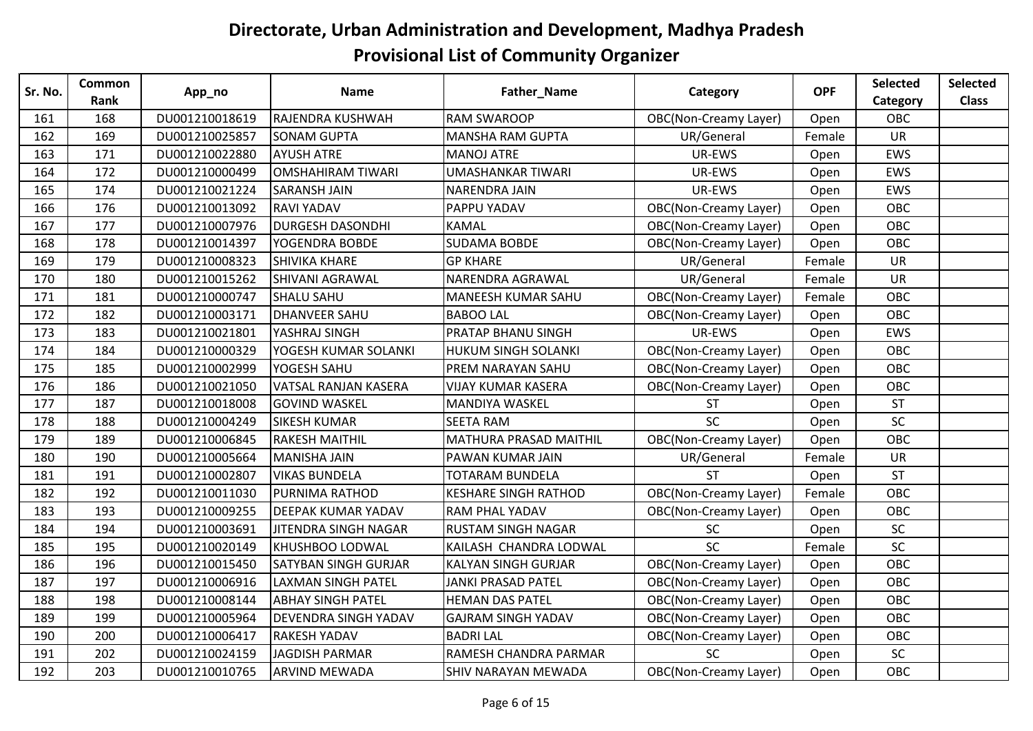| Sr. No. | <b>Common</b> | App_no         | <b>Name</b>                 | Father_Name                   | Category                     | <b>OPF</b> | Selected  | <b>Selected</b> |
|---------|---------------|----------------|-----------------------------|-------------------------------|------------------------------|------------|-----------|-----------------|
|         | Rank          |                |                             |                               |                              |            | Category  | <b>Class</b>    |
| 161     | 168           | DU001210018619 | RAJENDRA KUSHWAH            | <b>RAM SWAROOP</b>            | <b>OBC(Non-Creamy Layer)</b> | Open       | OBC       |                 |
| 162     | 169           | DU001210025857 | <b>SONAM GUPTA</b>          | <b>MANSHA RAM GUPTA</b>       | UR/General                   | Female     | <b>UR</b> |                 |
| 163     | 171           | DU001210022880 | <b>AYUSH ATRE</b>           | <b>MANOJ ATRE</b>             | UR-EWS                       | Open       | EWS       |                 |
| 164     | 172           | DU001210000499 | <b>OMSHAHIRAM TIWARI</b>    | <b>UMASHANKAR TIWARI</b>      | UR-EWS                       | Open       | EWS       |                 |
| 165     | 174           | DU001210021224 | <b>SARANSH JAIN</b>         | <b>NARENDRA JAIN</b>          | UR-EWS                       | Open       | EWS       |                 |
| 166     | 176           | DU001210013092 | <b>RAVI YADAV</b>           | PAPPU YADAV                   | <b>OBC(Non-Creamy Layer)</b> | Open       | OBC       |                 |
| 167     | 177           | DU001210007976 | <b>DURGESH DASONDHI</b>     | <b>KAMAL</b>                  | <b>OBC(Non-Creamy Layer)</b> | Open       | OBC       |                 |
| 168     | 178           | DU001210014397 | YOGENDRA BOBDE              | <b>SUDAMA BOBDE</b>           | <b>OBC(Non-Creamy Layer)</b> | Open       | OBC       |                 |
| 169     | 179           | DU001210008323 | <b>SHIVIKA KHARE</b>        | <b>GP KHARE</b>               | UR/General                   | Female     | <b>UR</b> |                 |
| 170     | 180           | DU001210015262 | SHIVANI AGRAWAL             | NARENDRA AGRAWAL              | UR/General                   | Female     | <b>UR</b> |                 |
| 171     | 181           | DU001210000747 | <b>SHALU SAHU</b>           | <b>MANEESH KUMAR SAHU</b>     | <b>OBC(Non-Creamy Layer)</b> | Female     | OBC       |                 |
| 172     | 182           | DU001210003171 | <b>DHANVEER SAHU</b>        | <b>BABOO LAL</b>              | <b>OBC(Non-Creamy Layer)</b> | Open       | OBC       |                 |
| 173     | 183           | DU001210021801 | YASHRAJ SINGH               | PRATAP BHANU SINGH            | UR-EWS                       | Open       | EWS       |                 |
| 174     | 184           | DU001210000329 | YOGESH KUMAR SOLANKI        | <b>HUKUM SINGH SOLANKI</b>    | <b>OBC(Non-Creamy Layer)</b> | Open       | OBC       |                 |
| 175     | 185           | DU001210002999 | YOGESH SAHU                 | PREM NARAYAN SAHU             | <b>OBC(Non-Creamy Layer)</b> | Open       | OBC       |                 |
| 176     | 186           | DU001210021050 | VATSAL RANJAN KASERA        | <b>VIJAY KUMAR KASERA</b>     | <b>OBC(Non-Creamy Layer)</b> | Open       | OBC       |                 |
| 177     | 187           | DU001210018008 | <b>GOVIND WASKEL</b>        | <b>MANDIYA WASKEL</b>         | <b>ST</b>                    | Open       | <b>ST</b> |                 |
| 178     | 188           | DU001210004249 | <b>SIKESH KUMAR</b>         | <b>SEETA RAM</b>              | SC                           | Open       | <b>SC</b> |                 |
| 179     | 189           | DU001210006845 | <b>RAKESH MAITHIL</b>       | <b>MATHURA PRASAD MAITHIL</b> | <b>OBC(Non-Creamy Layer)</b> | Open       | OBC       |                 |
| 180     | 190           | DU001210005664 | <b>MANISHA JAIN</b>         | PAWAN KUMAR JAIN              | UR/General                   | Female     | UR        |                 |
| 181     | 191           | DU001210002807 | <b>VIKAS BUNDELA</b>        | TOTARAM BUNDELA               | <b>ST</b>                    | Open       | <b>ST</b> |                 |
| 182     | 192           | DU001210011030 | PURNIMA RATHOD              | <b>KESHARE SINGH RATHOD</b>   | <b>OBC(Non-Creamy Layer)</b> | Female     | OBC       |                 |
| 183     | 193           | DU001210009255 | <b>DEEPAK KUMAR YADAV</b>   | <b>RAM PHAL YADAV</b>         | <b>OBC(Non-Creamy Layer)</b> | Open       | OBC       |                 |
| 184     | 194           | DU001210003691 | JITENDRA SINGH NAGAR        | <b>RUSTAM SINGH NAGAR</b>     | SC                           | Open       | SC        |                 |
| 185     | 195           | DU001210020149 | <b>KHUSHBOO LODWAL</b>      | KAILASH CHANDRA LODWAL        | SC                           | Female     | SC        |                 |
| 186     | 196           | DU001210015450 | SATYBAN SINGH GURJAR        | <b>KALYAN SINGH GURJAR</b>    | <b>OBC(Non-Creamy Layer)</b> | Open       | OBC       |                 |
| 187     | 197           | DU001210006916 | <b>LAXMAN SINGH PATEL</b>   | <b>JANKI PRASAD PATEL</b>     | <b>OBC(Non-Creamy Layer)</b> | Open       | OBC       |                 |
| 188     | 198           | DU001210008144 | <b>ABHAY SINGH PATEL</b>    | <b>HEMAN DAS PATEL</b>        | OBC(Non-Creamy Layer)        | Open       | OBC       |                 |
| 189     | 199           | DU001210005964 | <b>DEVENDRA SINGH YADAV</b> | <b>GAJRAM SINGH YADAV</b>     | <b>OBC(Non-Creamy Layer)</b> | Open       | OBC       |                 |
| 190     | 200           | DU001210006417 | <b>RAKESH YADAV</b>         | <b>BADRI LAL</b>              | <b>OBC(Non-Creamy Layer)</b> | Open       | OBC       |                 |
| 191     | 202           | DU001210024159 | <b>JAGDISH PARMAR</b>       | RAMESH CHANDRA PARMAR         | <b>SC</b>                    | Open       | SC        |                 |
| 192     | 203           | DU001210010765 | <b>ARVIND MEWADA</b>        | <b>SHIV NARAYAN MEWADA</b>    | <b>OBC(Non-Creamy Layer)</b> | Open       | OBC       |                 |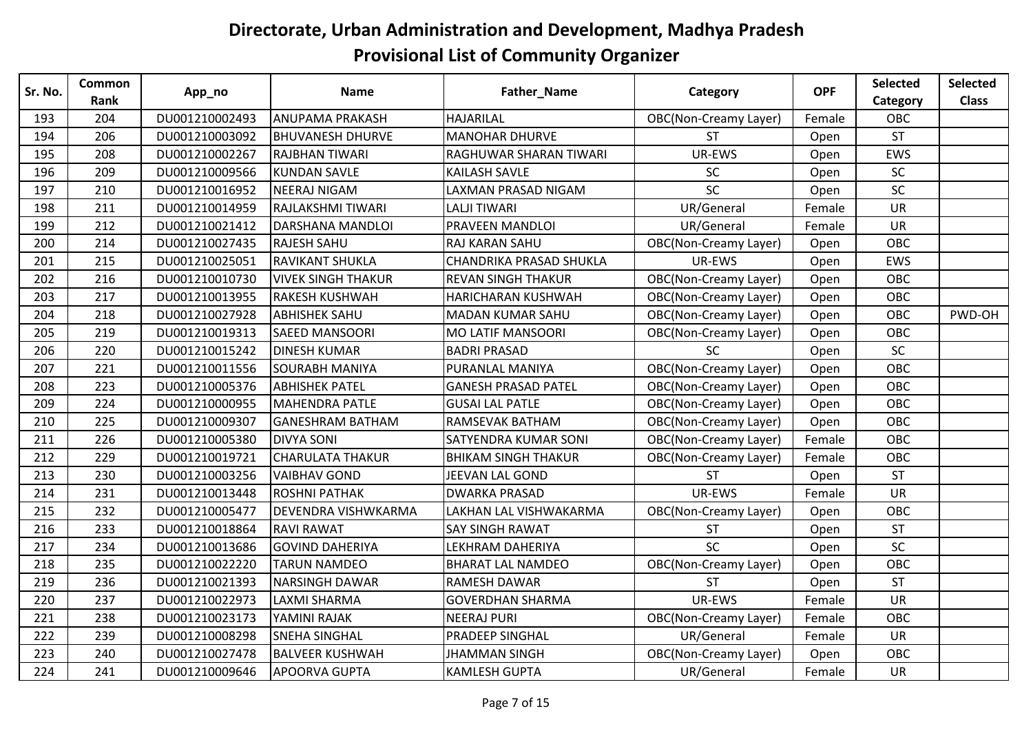| Sr. No. | <b>Common</b> | App_no         | <b>Name</b>               | Father_Name                 | Category                     | <b>OPF</b> | Selected  | <b>Selected</b> |
|---------|---------------|----------------|---------------------------|-----------------------------|------------------------------|------------|-----------|-----------------|
|         | Rank          |                |                           |                             |                              |            | Category  | <b>Class</b>    |
| 193     | 204           | DU001210002493 | <b>ANUPAMA PRAKASH</b>    | <b>HAJARILAL</b>            | <b>OBC(Non-Creamy Layer)</b> | Female     | OBC       |                 |
| 194     | 206           | DU001210003092 | <b>BHUVANESH DHURVE</b>   | <b>MANOHAR DHURVE</b>       | <b>ST</b>                    | Open       | <b>ST</b> |                 |
| 195     | 208           | DU001210002267 | <b>RAJBHAN TIWARI</b>     | RAGHUWAR SHARAN TIWARI      | UR-EWS                       | Open       | EWS       |                 |
| 196     | 209           | DU001210009566 | <b>KUNDAN SAVLE</b>       | <b>KAILASH SAVLE</b>        | SC                           | Open       | SC        |                 |
| 197     | 210           | DU001210016952 | <b>NEERAJ NIGAM</b>       | LAXMAN PRASAD NIGAM         | SC                           | Open       | SC        |                 |
| 198     | 211           | DU001210014959 | RAJLAKSHMI TIWARI         | <b>LALJI TIWARI</b>         | UR/General                   | Female     | <b>UR</b> |                 |
| 199     | 212           | DU001210021412 | DARSHANA MANDLOI          | PRAVEEN MANDLOI             | UR/General                   | Female     | <b>UR</b> |                 |
| 200     | 214           | DU001210027435 | <b>RAJESH SAHU</b>        | <b>RAJ KARAN SAHU</b>       | <b>OBC(Non-Creamy Layer)</b> | Open       | OBC       |                 |
| 201     | 215           | DU001210025051 | RAVIKANT SHUKLA           | CHANDRIKA PRASAD SHUKLA     | UR-EWS                       | Open       | EWS       |                 |
| 202     | 216           | DU001210010730 | <b>VIVEK SINGH THAKUR</b> | <b>REVAN SINGH THAKUR</b>   | <b>OBC(Non-Creamy Layer)</b> | Open       | OBC       |                 |
| 203     | 217           | DU001210013955 | <b>RAKESH KUSHWAH</b>     | <b>HARICHARAN KUSHWAH</b>   | OBC(Non-Creamy Layer)        | Open       | OBC       |                 |
| 204     | 218           | DU001210027928 | <b>ABHISHEK SAHU</b>      | <b>MADAN KUMAR SAHU</b>     | <b>OBC(Non-Creamy Layer)</b> | Open       | OBC       | PWD-OH          |
| 205     | 219           | DU001210019313 | <b>SAEED MANSOORI</b>     | <b>MO LATIF MANSOORI</b>    | <b>OBC(Non-Creamy Layer)</b> | Open       | OBC       |                 |
| 206     | 220           | DU001210015242 | <b>DINESH KUMAR</b>       | <b>BADRI PRASAD</b>         | <b>SC</b>                    | Open       | SC        |                 |
| 207     | 221           | DU001210011556 | <b>SOURABH MANIYA</b>     | PURANLAL MANIYA             | <b>OBC(Non-Creamy Layer)</b> | Open       | OBC       |                 |
| 208     | 223           | DU001210005376 | <b>ABHISHEK PATEL</b>     | <b>GANESH PRASAD PATEL</b>  | <b>OBC(Non-Creamy Layer)</b> | Open       | OBC       |                 |
| 209     | 224           | DU001210000955 | <b>MAHENDRA PATLE</b>     | <b>GUSAI LAL PATLE</b>      | <b>OBC(Non-Creamy Layer)</b> | Open       | OBC       |                 |
| 210     | 225           | DU001210009307 | <b>GANESHRAM BATHAM</b>   | <b>RAMSEVAK BATHAM</b>      | OBC(Non-Creamy Layer)        | Open       | OBC       |                 |
| 211     | 226           | DU001210005380 | <b>DIVYA SONI</b>         | <b>SATYENDRA KUMAR SONI</b> | <b>OBC(Non-Creamy Layer)</b> | Female     | OBC       |                 |
| 212     | 229           | DU001210019721 | <b>CHARULATA THAKUR</b>   | <b>BHIKAM SINGH THAKUR</b>  | <b>OBC(Non-Creamy Layer)</b> | Female     | OBC       |                 |
| 213     | 230           | DU001210003256 | <b>VAIBHAV GOND</b>       | JEEVAN LAL GOND             | <b>ST</b>                    | Open       | <b>ST</b> |                 |
| 214     | 231           | DU001210013448 | <b>ROSHNI PATHAK</b>      | <b>DWARKA PRASAD</b>        | UR-EWS                       | Female     | <b>UR</b> |                 |
| 215     | 232           | DU001210005477 | DEVENDRA VISHWKARMA       | LAKHAN LAL VISHWAKARMA      | <b>OBC(Non-Creamy Layer)</b> | Open       | OBC       |                 |
| 216     | 233           | DU001210018864 | <b>RAVI RAWAT</b>         | <b>SAY SINGH RAWAT</b>      | <b>ST</b>                    | Open       | <b>ST</b> |                 |
| 217     | 234           | DU001210013686 | <b>GOVIND DAHERIYA</b>    | LEKHRAM DAHERIYA            | <b>SC</b>                    | Open       | <b>SC</b> |                 |
| 218     | 235           | DU001210022220 | <b>TARUN NAMDEO</b>       | <b>BHARAT LAL NAMDEO</b>    | <b>OBC(Non-Creamy Layer)</b> | Open       | OBC       |                 |
| 219     | 236           | DU001210021393 | <b>NARSINGH DAWAR</b>     | <b>RAMESH DAWAR</b>         | <b>ST</b>                    | Open       | <b>ST</b> |                 |
| 220     | 237           | DU001210022973 | <b>LAXMI SHARMA</b>       | <b>GOVERDHAN SHARMA</b>     | UR-EWS                       | Female     | <b>UR</b> |                 |
| 221     | 238           | DU001210023173 | YAMINI RAJAK              | <b>NEERAJ PURI</b>          | <b>OBC(Non-Creamy Layer)</b> | Female     | OBC       |                 |
| 222     | 239           | DU001210008298 | <b>SNEHA SINGHAL</b>      | <b>PRADEEP SINGHAL</b>      | UR/General                   | Female     | <b>UR</b> |                 |
| 223     | 240           | DU001210027478 | <b>BALVEER KUSHWAH</b>    | <b>JHAMMAN SINGH</b>        | <b>OBC(Non-Creamy Layer)</b> | Open       | OBC       |                 |
| 224     | 241           | DU001210009646 | <b>APOORVA GUPTA</b>      | <b>KAMLESH GUPTA</b>        | UR/General                   | Female     | <b>UR</b> |                 |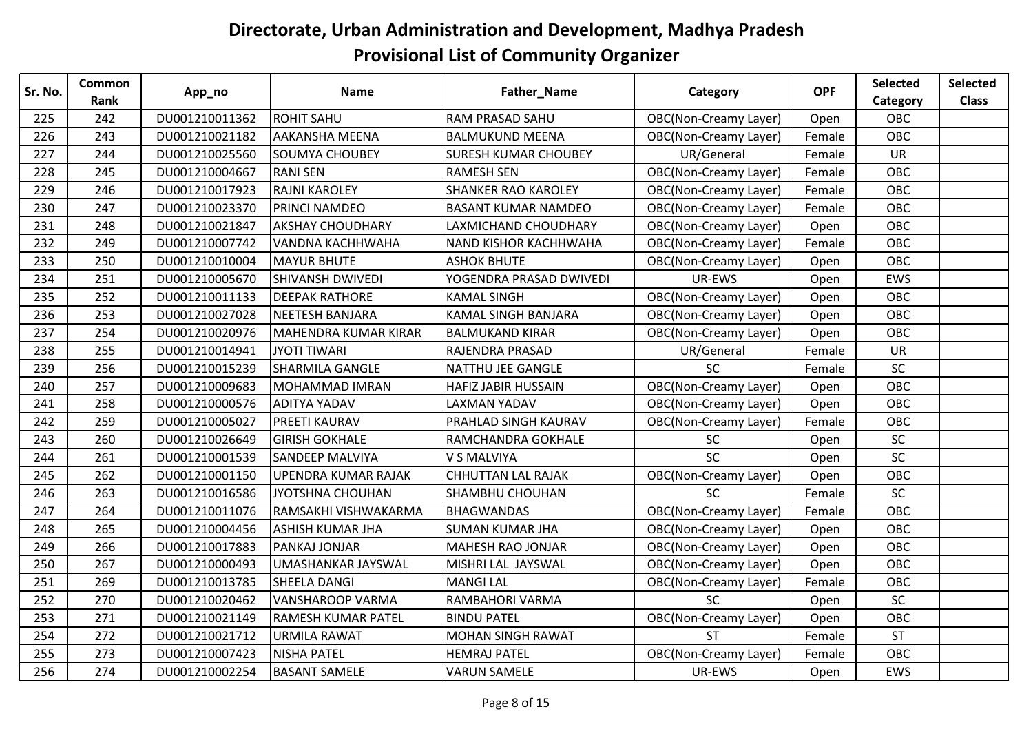| Sr. No. | Common | App_no         | <b>Name</b>               | Father_Name                  | Category                     | <b>OPF</b> | Selected   | <b>Selected</b> |
|---------|--------|----------------|---------------------------|------------------------------|------------------------------|------------|------------|-----------------|
|         | Rank   |                |                           |                              |                              |            | Category   | <b>Class</b>    |
| 225     | 242    | DU001210011362 | <b>ROHIT SAHU</b>         | <b>RAM PRASAD SAHU</b>       | <b>OBC(Non-Creamy Layer)</b> | Open       | OBC        |                 |
| 226     | 243    | DU001210021182 | <b>AAKANSHA MEENA</b>     | <b>BALMUKUND MEENA</b>       | <b>OBC(Non-Creamy Layer)</b> | Female     | <b>OBC</b> |                 |
| 227     | 244    | DU001210025560 | <b>SOUMYA CHOUBEY</b>     | <b>SURESH KUMAR CHOUBEY</b>  | UR/General                   | Female     | <b>UR</b>  |                 |
| 228     | 245    | DU001210004667 | <b>RANI SEN</b>           | <b>RAMESH SEN</b>            | <b>OBC(Non-Creamy Layer)</b> | Female     | OBC        |                 |
| 229     | 246    | DU001210017923 | <b>RAJNI KAROLEY</b>      | <b>SHANKER RAO KAROLEY</b>   | <b>OBC(Non-Creamy Layer)</b> | Female     | OBC        |                 |
| 230     | 247    | DU001210023370 | PRINCI NAMDEO             | <b>BASANT KUMAR NAMDEO</b>   | <b>OBC(Non-Creamy Layer)</b> | Female     | OBC        |                 |
| 231     | 248    | DU001210021847 | <b>AKSHAY CHOUDHARY</b>   | LAXMICHAND CHOUDHARY         | OBC(Non-Creamy Layer)        | Open       | OBC        |                 |
| 232     | 249    | DU001210007742 | VANDNA KACHHWAHA          | <b>NAND KISHOR KACHHWAHA</b> | <b>OBC(Non-Creamy Layer)</b> | Female     | <b>OBC</b> |                 |
| 233     | 250    | DU001210010004 | <b>MAYUR BHUTE</b>        | <b>ASHOK BHUTE</b>           | <b>OBC(Non-Creamy Layer)</b> | Open       | OBC        |                 |
| 234     | 251    | DU001210005670 | <b>SHIVANSH DWIVEDI</b>   | YOGENDRA PRASAD DWIVEDI      | UR-EWS                       | Open       | <b>EWS</b> |                 |
| 235     | 252    | DU001210011133 | <b>DEEPAK RATHORE</b>     | <b>KAMAL SINGH</b>           | <b>OBC(Non-Creamy Layer)</b> | Open       | OBC        |                 |
| 236     | 253    | DU001210027028 | <b>NEETESH BANJARA</b>    | <b>KAMAL SINGH BANJARA</b>   | OBC(Non-Creamy Layer)        | Open       | OBC        |                 |
| 237     | 254    | DU001210020976 | MAHENDRA KUMAR KIRAR      | <b>BALMUKAND KIRAR</b>       | <b>OBC(Non-Creamy Layer)</b> | Open       | OBC        |                 |
| 238     | 255    | DU001210014941 | <b>JYOTI TIWARI</b>       | RAJENDRA PRASAD              | UR/General                   | Female     | <b>UR</b>  |                 |
| 239     | 256    | DU001210015239 | <b>SHARMILA GANGLE</b>    | <b>NATTHU JEE GANGLE</b>     | SC                           | Female     | SC         |                 |
| 240     | 257    | DU001210009683 | <b>MOHAMMAD IMRAN</b>     | <b>HAFIZ JABIR HUSSAIN</b>   | <b>OBC(Non-Creamy Layer)</b> | Open       | OBC        |                 |
| 241     | 258    | DU001210000576 | <b>ADITYA YADAV</b>       | <b>LAXMAN YADAV</b>          | <b>OBC(Non-Creamy Layer)</b> | Open       | <b>OBC</b> |                 |
| 242     | 259    | DU001210005027 | PREETI KAURAV             | PRAHLAD SINGH KAURAV         | <b>OBC(Non-Creamy Layer)</b> | Female     | OBC        |                 |
| 243     | 260    | DU001210026649 | <b>GIRISH GOKHALE</b>     | RAMCHANDRA GOKHALE           | <b>SC</b>                    | Open       | <b>SC</b>  |                 |
| 244     | 261    | DU001210001539 | <b>SANDEEP MALVIYA</b>    | V S MALVIYA                  | SC                           | Open       | SC         |                 |
| 245     | 262    | DU001210001150 | UPENDRA KUMAR RAJAK       | <b>CHHUTTAN LAL RAJAK</b>    | <b>OBC(Non-Creamy Layer)</b> | Open       | OBC        |                 |
| 246     | 263    | DU001210016586 | JYOTSHNA CHOUHAN          | <b>SHAMBHU CHOUHAN</b>       | <b>SC</b>                    | Female     | <b>SC</b>  |                 |
| 247     | 264    | DU001210011076 | RAMSAKHI VISHWAKARMA      | <b>BHAGWANDAS</b>            | <b>OBC(Non-Creamy Layer)</b> | Female     | OBC        |                 |
| 248     | 265    | DU001210004456 | <b>ASHISH KUMAR JHA</b>   | <b>SUMAN KUMAR JHA</b>       | <b>OBC(Non-Creamy Layer)</b> | Open       | OBC        |                 |
| 249     | 266    | DU001210017883 | PANKAJ JONJAR             | <b>MAHESH RAO JONJAR</b>     | <b>OBC(Non-Creamy Layer)</b> | Open       | <b>OBC</b> |                 |
| 250     | 267    | DU001210000493 | UMASHANKAR JAYSWAL        | MISHRI LAL JAYSWAL           | OBC(Non-Creamy Layer)        | Open       | OBC        |                 |
| 251     | 269    | DU001210013785 | <b>SHEELA DANGI</b>       | <b>MANGI LAL</b>             | <b>OBC(Non-Creamy Layer)</b> | Female     | OBC        |                 |
| 252     | 270    | DU001210020462 | <b>VANSHAROOP VARMA</b>   | RAMBAHORI VARMA              | <b>SC</b>                    | Open       | <b>SC</b>  |                 |
| 253     | 271    | DU001210021149 | <b>RAMESH KUMAR PATEL</b> | <b>BINDU PATEL</b>           | <b>OBC(Non-Creamy Layer)</b> | Open       | OBC        |                 |
| 254     | 272    | DU001210021712 | <b>URMILA RAWAT</b>       | <b>MOHAN SINGH RAWAT</b>     | <b>ST</b>                    | Female     | <b>ST</b>  |                 |
| 255     | 273    | DU001210007423 | <b>NISHA PATEL</b>        | <b>HEMRAJ PATEL</b>          | <b>OBC(Non-Creamy Layer)</b> | Female     | OBC        |                 |
| 256     | 274    | DU001210002254 | <b>BASANT SAMELE</b>      | <b>VARUN SAMELE</b>          | UR-EWS                       | Open       | EWS        |                 |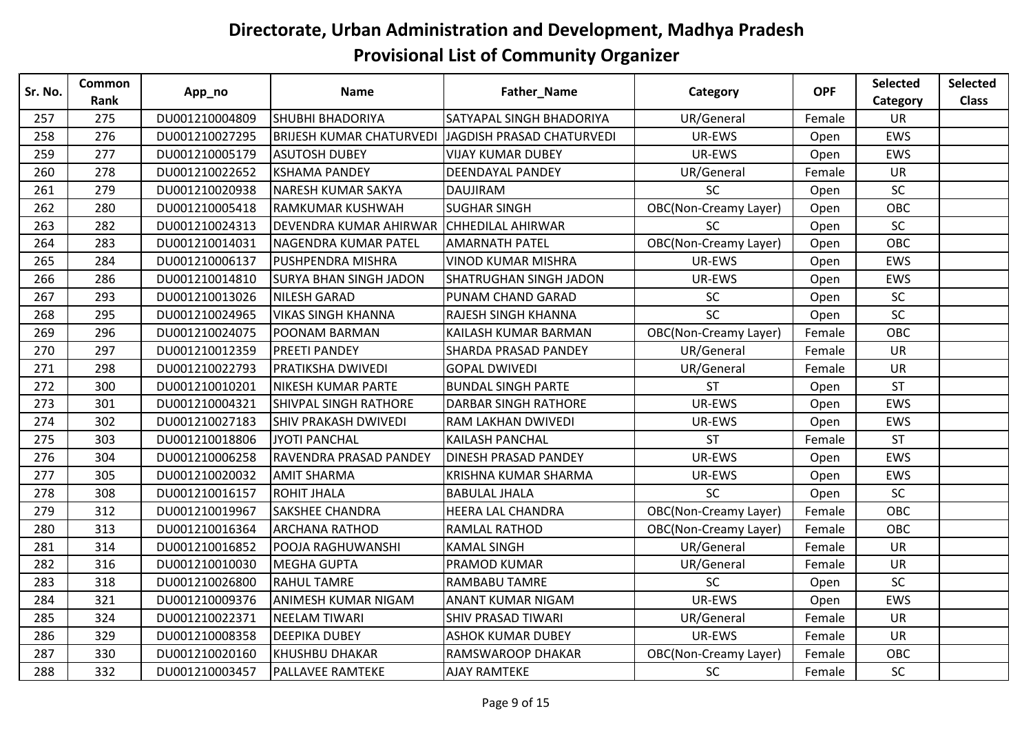| Sr. No. | Common | App_no         | <b>Name</b>                     | Father_Name                   | Category                     | <b>OPF</b> | Selected   | <b>Selected</b> |
|---------|--------|----------------|---------------------------------|-------------------------------|------------------------------|------------|------------|-----------------|
|         | Rank   |                |                                 |                               |                              |            | Category   | <b>Class</b>    |
| 257     | 275    | DU001210004809 | <b>SHUBHI BHADORIYA</b>         | SATYAPAL SINGH BHADORIYA      | UR/General                   | Female     | <b>UR</b>  |                 |
| 258     | 276    | DU001210027295 | <b>BRIJESH KUMAR CHATURVEDI</b> | JAGDISH PRASAD CHATURVEDI     | UR-EWS                       | Open       | EWS        |                 |
| 259     | 277    | DU001210005179 | <b>ASUTOSH DUBEY</b>            | <b>VIJAY KUMAR DUBEY</b>      | UR-EWS                       | Open       | EWS        |                 |
| 260     | 278    | DU001210022652 | <b>KSHAMA PANDEY</b>            | <b>DEENDAYAL PANDEY</b>       | UR/General                   | Female     | UR         |                 |
| 261     | 279    | DU001210020938 | NARESH KUMAR SAKYA              | <b>DAUJIRAM</b>               | SC                           | Open       | SC         |                 |
| 262     | 280    | DU001210005418 | RAMKUMAR KUSHWAH                | <b>SUGHAR SINGH</b>           | <b>OBC(Non-Creamy Layer)</b> | Open       | OBC        |                 |
| 263     | 282    | DU001210024313 | DEVENDRA KUMAR AHIRWAR          | <b>CHHEDILAL AHIRWAR</b>      | <b>SC</b>                    | Open       | SC         |                 |
| 264     | 283    | DU001210014031 | NAGENDRA KUMAR PATEL            | <b>AMARNATH PATEL</b>         | <b>OBC(Non-Creamy Layer)</b> | Open       | <b>OBC</b> |                 |
| 265     | 284    | DU001210006137 | <b>PUSHPENDRA MISHRA</b>        | <b>VINOD KUMAR MISHRA</b>     | UR-EWS                       | Open       | EWS        |                 |
| 266     | 286    | DU001210014810 | <b>SURYA BHAN SINGH JADON</b>   | <b>SHATRUGHAN SINGH JADON</b> | UR-EWS                       | Open       | <b>EWS</b> |                 |
| 267     | 293    | DU001210013026 | <b>NILESH GARAD</b>             | PUNAM CHAND GARAD             | <b>SC</b>                    | Open       | SC         |                 |
| 268     | 295    | DU001210024965 | <b>VIKAS SINGH KHANNA</b>       | RAJESH SINGH KHANNA           | <b>SC</b>                    | Open       | SC         |                 |
| 269     | 296    | DU001210024075 | POONAM BARMAN                   | KAILASH KUMAR BARMAN          | OBC(Non-Creamy Layer)        | Female     | OBC        |                 |
| 270     | 297    | DU001210012359 | <b>PREETI PANDEY</b>            | <b>SHARDA PRASAD PANDEY</b>   | UR/General                   | Female     | <b>UR</b>  |                 |
| 271     | 298    | DU001210022793 | PRATIKSHA DWIVEDI               | <b>GOPAL DWIVEDI</b>          | UR/General                   | Female     | <b>UR</b>  |                 |
| 272     | 300    | DU001210010201 | NIKESH KUMAR PARTE              | <b>BUNDAL SINGH PARTE</b>     | <b>ST</b>                    | Open       | <b>ST</b>  |                 |
| 273     | 301    | DU001210004321 | <b>SHIVPAL SINGH RATHORE</b>    | <b>DARBAR SINGH RATHORE</b>   | UR-EWS                       | Open       | <b>EWS</b> |                 |
| 274     | 302    | DU001210027183 | <b>SHIV PRAKASH DWIVEDI</b>     | <b>RAM LAKHAN DWIVEDI</b>     | UR-EWS                       | Open       | EWS        |                 |
| 275     | 303    | DU001210018806 | JYOTI PANCHAL                   | <b>KAILASH PANCHAL</b>        | <b>ST</b>                    | Female     | <b>ST</b>  |                 |
| 276     | 304    | DU001210006258 | RAVENDRA PRASAD PANDEY          | <b>DINESH PRASAD PANDEY</b>   | UR-EWS                       | Open       | EWS        |                 |
| 277     | 305    | DU001210020032 | <b>AMIT SHARMA</b>              | KRISHNA KUMAR SHARMA          | UR-EWS                       | Open       | EWS        |                 |
| 278     | 308    | DU001210016157 | <b>ROHIT JHALA</b>              | <b>BABULAL JHALA</b>          | SC                           | Open       | <b>SC</b>  |                 |
| 279     | 312    | DU001210019967 | <b>SAKSHEE CHANDRA</b>          | <b>HEERA LAL CHANDRA</b>      | <b>OBC(Non-Creamy Layer)</b> | Female     | OBC        |                 |
| 280     | 313    | DU001210016364 | <b>ARCHANA RATHOD</b>           | RAMLAL RATHOD                 | <b>OBC(Non-Creamy Layer)</b> | Female     | OBC        |                 |
| 281     | 314    | DU001210016852 | POOJA RAGHUWANSHI               | <b>KAMAL SINGH</b>            | UR/General                   | Female     | <b>UR</b>  |                 |
| 282     | 316    | DU001210010030 | <b>MEGHA GUPTA</b>              | PRAMOD KUMAR                  | UR/General                   | Female     | <b>UR</b>  |                 |
| 283     | 318    | DU001210026800 | <b>RAHUL TAMRE</b>              | <b>RAMBABU TAMRE</b>          | SC                           | Open       | <b>SC</b>  |                 |
| 284     | 321    | DU001210009376 | ANIMESH KUMAR NIGAM             | <b>ANANT KUMAR NIGAM</b>      | UR-EWS                       | Open       | EWS        |                 |
| 285     | 324    | DU001210022371 | <b>NEELAM TIWARI</b>            | <b>SHIV PRASAD TIWARI</b>     | UR/General                   | Female     | <b>UR</b>  |                 |
| 286     | 329    | DU001210008358 | <b>DEEPIKA DUBEY</b>            | <b>ASHOK KUMAR DUBEY</b>      | UR-EWS                       | Female     | UR         |                 |
| 287     | 330    | DU001210020160 | <b>KHUSHBU DHAKAR</b>           | RAMSWAROOP DHAKAR             | <b>OBC(Non-Creamy Layer)</b> | Female     | OBC        |                 |
| 288     | 332    | DU001210003457 | <b>PALLAVEE RAMTEKE</b>         | <b>AJAY RAMTEKE</b>           | <b>SC</b>                    | Female     | <b>SC</b>  |                 |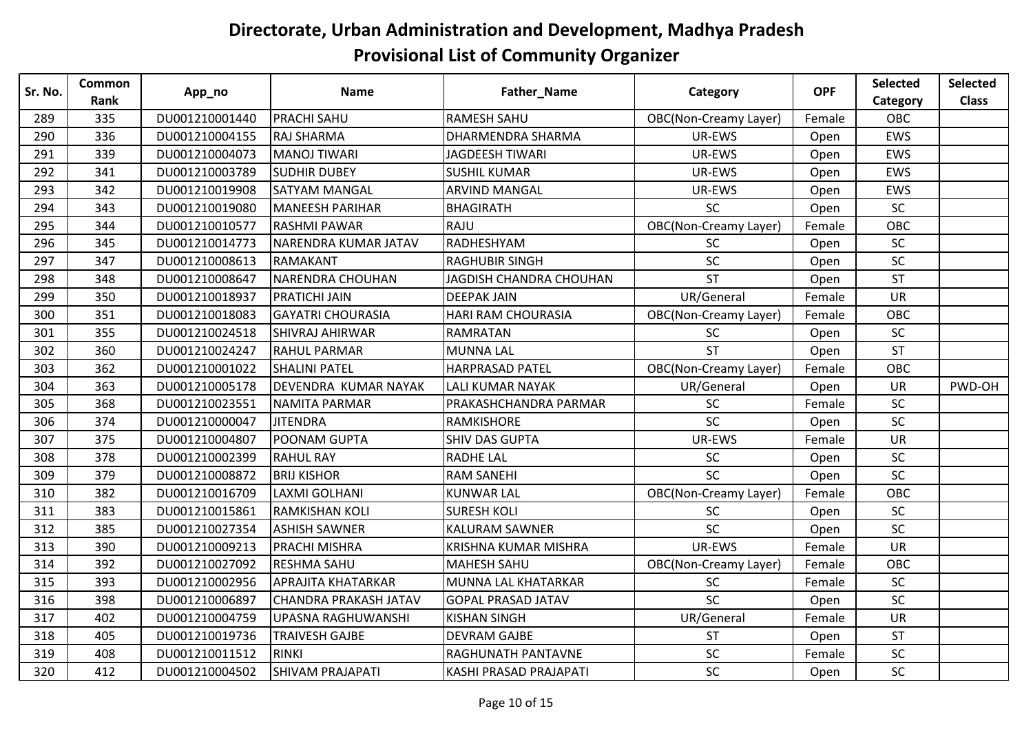| Sr. No. | Common | App_no         | <b>Name</b>                  | Father_Name                   | Category                     | <b>OPF</b> | Selected  | <b>Selected</b> |
|---------|--------|----------------|------------------------------|-------------------------------|------------------------------|------------|-----------|-----------------|
|         | Rank   |                |                              |                               |                              |            | Category  | <b>Class</b>    |
| 289     | 335    | DU001210001440 | <b>PRACHI SAHU</b>           | <b>RAMESH SAHU</b>            | <b>OBC(Non-Creamy Layer)</b> | Female     | OBC       |                 |
| 290     | 336    | DU001210004155 | <b>RAJ SHARMA</b>            | <b>DHARMENDRA SHARMA</b>      | UR-EWS                       | Open       | EWS       |                 |
| 291     | 339    | DU001210004073 | MANOJ TIWARI                 | <b>JAGDEESH TIWARI</b>        | UR-EWS                       | Open       | EWS       |                 |
| 292     | 341    | DU001210003789 | <b>SUDHIR DUBEY</b>          | <b>SUSHIL KUMAR</b>           | UR-EWS                       | Open       | EWS       |                 |
| 293     | 342    | DU001210019908 | SATYAM MANGAL                | <b>ARVIND MANGAL</b>          | UR-EWS                       | Open       | EWS       |                 |
| 294     | 343    | DU001210019080 | <b>MANEESH PARIHAR</b>       | <b>BHAGIRATH</b>              | SC                           | Open       | <b>SC</b> |                 |
| 295     | 344    | DU001210010577 | <b>RASHMI PAWAR</b>          | RAJU                          | <b>OBC(Non-Creamy Layer)</b> | Female     | OBC       |                 |
| 296     | 345    | DU001210014773 | NARENDRA KUMAR JATAV         | RADHESHYAM                    | <b>SC</b>                    | Open       | <b>SC</b> |                 |
| 297     | 347    | DU001210008613 | <b>RAMAKANT</b>              | <b>RAGHUBIR SINGH</b>         | SC                           | Open       | SC        |                 |
| 298     | 348    | DU001210008647 | <b>NARENDRA CHOUHAN</b>      | JAGDISH CHANDRA CHOUHAN       | <b>ST</b>                    | Open       | <b>ST</b> |                 |
| 299     | 350    | DU001210018937 | PRATICHI JAIN                | <b>DEEPAK JAIN</b>            | UR/General                   | Female     | <b>UR</b> |                 |
| 300     | 351    | DU001210018083 | <b>GAYATRI CHOURASIA</b>     | <b>HARI RAM CHOURASIA</b>     | <b>OBC(Non-Creamy Layer)</b> | Female     | OBC       |                 |
| 301     | 355    | DU001210024518 | <b>SHIVRAJ AHIRWAR</b>       | <b>RAMRATAN</b>               | SC                           | Open       | SC        |                 |
| 302     | 360    | DU001210024247 | <b>RAHUL PARMAR</b>          | <b>MUNNA LAL</b>              | <b>ST</b>                    | Open       | <b>ST</b> |                 |
| 303     | 362    | DU001210001022 | <b>SHALINI PATEL</b>         | <b>HARPRASAD PATEL</b>        | <b>OBC(Non-Creamy Layer)</b> | Female     | OBC       |                 |
| 304     | 363    | DU001210005178 | DEVENDRA KUMAR NAYAK         | <b>LALI KUMAR NAYAK</b>       | UR/General                   | Open       | <b>UR</b> | PWD-OH          |
| 305     | 368    | DU001210023551 | <b>NAMITA PARMAR</b>         | PRAKASHCHANDRA PARMAR         | <b>SC</b>                    | Female     | SC        |                 |
| 306     | 374    | DU001210000047 | <b>JITENDRA</b>              | RAMKISHORE                    | SC                           | Open       | SC        |                 |
| 307     | 375    | DU001210004807 | POONAM GUPTA                 | <b>SHIV DAS GUPTA</b>         | UR-EWS                       | Female     | <b>UR</b> |                 |
| 308     | 378    | DU001210002399 | <b>RAHUL RAY</b>             | <b>RADHE LAL</b>              | SC                           | Open       | SC        |                 |
| 309     | 379    | DU001210008872 | <b>BRIJ KISHOR</b>           | <b>RAM SANEHI</b>             | SC                           | Open       | SC        |                 |
| 310     | 382    | DU001210016709 | LAXMI GOLHANI                | <b>KUNWAR LAL</b>             | <b>OBC(Non-Creamy Layer)</b> | Female     | OBC       |                 |
| 311     | 383    | DU001210015861 | <b>RAMKISHAN KOLI</b>        | <b>SURESH KOLI</b>            | SC                           | Open       | SC        |                 |
| 312     | 385    | DU001210027354 | <b>ASHISH SAWNER</b>         | <b>KALURAM SAWNER</b>         | SC                           | Open       | SC        |                 |
| 313     | 390    | DU001210009213 | <b>PRACHI MISHRA</b>         | <b>KRISHNA KUMAR MISHRA</b>   | UR-EWS                       | Female     | <b>UR</b> |                 |
| 314     | 392    | DU001210027092 | <b>RESHMA SAHU</b>           | <b>MAHESH SAHU</b>            | <b>OBC(Non-Creamy Layer)</b> | Female     | OBC       |                 |
| 315     | 393    | DU001210002956 | <b>APRAJITA KHATARKAR</b>    | MUNNA LAL KHATARKAR           | <b>SC</b>                    | Female     | <b>SC</b> |                 |
| 316     | 398    | DU001210006897 | <b>CHANDRA PRAKASH JATAV</b> | <b>GOPAL PRASAD JATAV</b>     | SC                           | Open       | SC        |                 |
| 317     | 402    | DU001210004759 | UPASNA RAGHUWANSHI           | <b>KISHAN SINGH</b>           | UR/General                   | Female     | <b>UR</b> |                 |
| 318     | 405    | DU001210019736 | <b>TRAIVESH GAJBE</b>        | <b>DEVRAM GAJBE</b>           | <b>ST</b>                    | Open       | <b>ST</b> |                 |
| 319     | 408    | DU001210011512 | <b>RINKI</b>                 | RAGHUNATH PANTAVNE            | SC                           | Female     | SC        |                 |
| 320     | 412    | DU001210004502 | <b>SHIVAM PRAJAPATI</b>      | <b>KASHI PRASAD PRAJAPATI</b> | SC                           | Open       | <b>SC</b> |                 |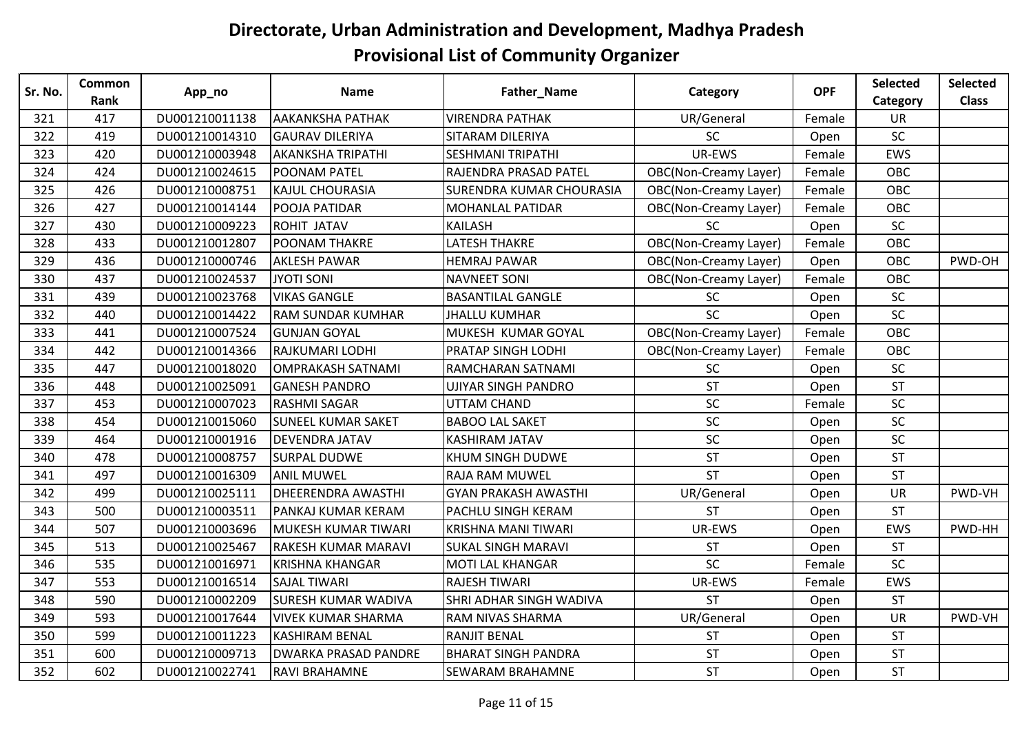| Sr. No. | <b>Common</b> |                | <b>Name</b>                 | Father_Name                     | Category                     | <b>OPF</b> | Selected  | <b>Selected</b> |
|---------|---------------|----------------|-----------------------------|---------------------------------|------------------------------|------------|-----------|-----------------|
|         | Rank          | App_no         |                             |                                 |                              |            | Category  | <b>Class</b>    |
| 321     | 417           | DU001210011138 | <b>AAKANKSHA PATHAK</b>     | <b>VIRENDRA PATHAK</b>          | UR/General                   | Female     | UR        |                 |
| 322     | 419           | DU001210014310 | <b>GAURAV DILERIYA</b>      | SITARAM DILERIYA                | <b>SC</b>                    | Open       | SC        |                 |
| 323     | 420           | DU001210003948 | <b>AKANKSHA TRIPATHI</b>    | <b>SESHMANI TRIPATHI</b>        | UR-EWS                       | Female     | EWS       |                 |
| 324     | 424           | DU001210024615 | <b>POONAM PATEL</b>         | RAJENDRA PRASAD PATEL           | <b>OBC(Non-Creamy Layer)</b> | Female     | OBC       |                 |
| 325     | 426           | DU001210008751 | <b>KAJUL CHOURASIA</b>      | <b>SURENDRA KUMAR CHOURASIA</b> | <b>OBC(Non-Creamy Layer)</b> | Female     | OBC       |                 |
| 326     | 427           | DU001210014144 | POOJA PATIDAR               | <b>MOHANLAL PATIDAR</b>         | <b>OBC(Non-Creamy Layer)</b> | Female     | OBC       |                 |
| 327     | 430           | DU001210009223 | <b>ROHIT JATAV</b>          | KAILASH                         | <b>SC</b>                    | Open       | SC        |                 |
| 328     | 433           | DU001210012807 | <b>POONAM THAKRE</b>        | <b>LATESH THAKRE</b>            | <b>OBC(Non-Creamy Layer)</b> | Female     | OBC       |                 |
| 329     | 436           | DU001210000746 | <b>AKLESH PAWAR</b>         | <b>HEMRAJ PAWAR</b>             | <b>OBC(Non-Creamy Layer)</b> | Open       | OBC       | PWD-OH          |
| 330     | 437           | DU001210024537 | JYOTI SONI                  | <b>NAVNEET SONI</b>             | <b>OBC(Non-Creamy Layer)</b> | Female     | OBC       |                 |
| 331     | 439           | DU001210023768 | <b>VIKAS GANGLE</b>         | <b>BASANTILAL GANGLE</b>        | <b>SC</b>                    | Open       | SC        |                 |
| 332     | 440           | DU001210014422 | <b>RAM SUNDAR KUMHAR</b>    | <b>JHALLU KUMHAR</b>            | <b>SC</b>                    | Open       | SC        |                 |
| 333     | 441           | DU001210007524 | <b>GUNJAN GOYAL</b>         | MUKESH KUMAR GOYAL              | <b>OBC(Non-Creamy Layer)</b> | Female     | OBC       |                 |
| 334     | 442           | DU001210014366 | <b>RAJKUMARI LODHI</b>      | PRATAP SINGH LODHI              | <b>OBC(Non-Creamy Layer)</b> | Female     | OBC       |                 |
| 335     | 447           | DU001210018020 | OMPRAKASH SATNAMI           | RAMCHARAN SATNAMI               | SC                           | Open       | SC        |                 |
| 336     | 448           | DU001210025091 | <b>GANESH PANDRO</b>        | <b>UJIYAR SINGH PANDRO</b>      | <b>ST</b>                    | Open       | ST        |                 |
| 337     | 453           | DU001210007023 | <b>RASHMI SAGAR</b>         | UTTAM CHAND                     | SC                           | Female     | SC        |                 |
| 338     | 454           | DU001210015060 | <b>SUNEEL KUMAR SAKET</b>   | <b>BABOO LAL SAKET</b>          | <b>SC</b>                    | Open       | SC        |                 |
| 339     | 464           | DU001210001916 | <b>DEVENDRA JATAV</b>       | <b>KASHIRAM JATAV</b>           | <b>SC</b>                    | Open       | <b>SC</b> |                 |
| 340     | 478           | DU001210008757 | <b>SURPAL DUDWE</b>         | <b>KHUM SINGH DUDWE</b>         | <b>ST</b>                    | Open       | <b>ST</b> |                 |
| 341     | 497           | DU001210016309 | <b>ANIL MUWEL</b>           | <b>RAJA RAM MUWEL</b>           | <b>ST</b>                    | Open       | <b>ST</b> |                 |
| 342     | 499           | DU001210025111 | <b>DHEERENDRA AWASTHI</b>   | <b>GYAN PRAKASH AWASTHI</b>     | UR/General                   | Open       | <b>UR</b> | PWD-VH          |
| 343     | 500           | DU001210003511 | PANKAJ KUMAR KERAM          | <b>PACHLU SINGH KERAM</b>       | <b>ST</b>                    | Open       | <b>ST</b> |                 |
| 344     | 507           | DU001210003696 | MUKESH KUMAR TIWARI         | <b>KRISHNA MANI TIWARI</b>      | UR-EWS                       | Open       | EWS       | PWD-HH          |
| 345     | 513           | DU001210025467 | <b>RAKESH KUMAR MARAVI</b>  | <b>SUKAL SINGH MARAVI</b>       | <b>ST</b>                    | Open       | ST        |                 |
| 346     | 535           | DU001210016971 | <b>KRISHNA KHANGAR</b>      | <b>MOTI LAL KHANGAR</b>         | <b>SC</b>                    | Female     | SC        |                 |
| 347     | 553           | DU001210016514 | <b>SAJAL TIWARI</b>         | <b>RAJESH TIWARI</b>            | UR-EWS                       | Female     | EWS       |                 |
| 348     | 590           | DU001210002209 | <b>SURESH KUMAR WADIVA</b>  | SHRI ADHAR SINGH WADIVA         | <b>ST</b>                    | Open       | <b>ST</b> |                 |
| 349     | 593           | DU001210017644 | VIVEK KUMAR SHARMA          | <b>RAM NIVAS SHARMA</b>         | UR/General                   | Open       | <b>UR</b> | PWD-VH          |
| 350     | 599           | DU001210011223 | <b>KASHIRAM BENAL</b>       | <b>RANJIT BENAL</b>             | <b>ST</b>                    | Open       | <b>ST</b> |                 |
| 351     | 600           | DU001210009713 | <b>DWARKA PRASAD PANDRE</b> | <b>BHARAT SINGH PANDRA</b>      | <b>ST</b>                    | Open       | <b>ST</b> |                 |
| 352     | 602           | DU001210022741 | <b>RAVI BRAHAMNE</b>        | <b>SEWARAM BRAHAMNE</b>         | ST                           | Open       | <b>ST</b> |                 |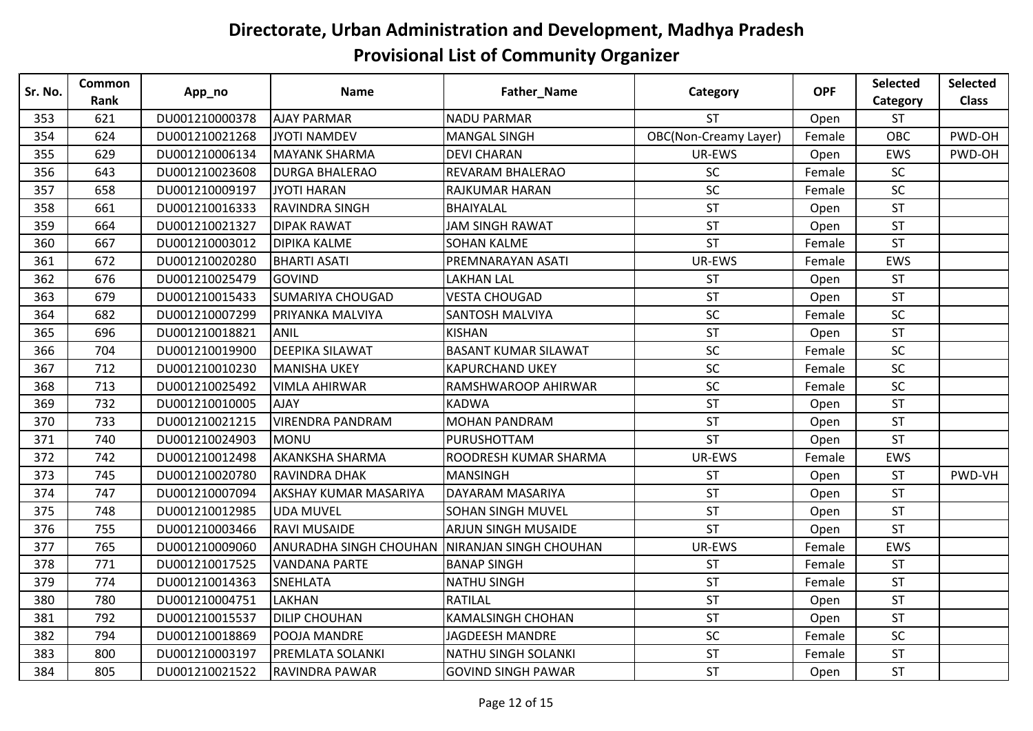| Sr. No. | <b>Common</b> | App_no         | <b>Name</b>                  | Father_Name                 | Category                     | <b>OPF</b> | <b>Selected</b> | <b>Selected</b> |
|---------|---------------|----------------|------------------------------|-----------------------------|------------------------------|------------|-----------------|-----------------|
|         | Rank          |                |                              |                             |                              |            | Category        | <b>Class</b>    |
| 353     | 621           | DU001210000378 | <b>AJAY PARMAR</b>           | <b>NADU PARMAR</b>          | <b>ST</b>                    | Open       | <b>ST</b>       |                 |
| 354     | 624           | DU001210021268 | <b>JYOTI NAMDEV</b>          | <b>MANGAL SINGH</b>         | <b>OBC(Non-Creamy Layer)</b> | Female     | OBC             | PWD-OH          |
| 355     | 629           | DU001210006134 | MAYANK SHARMA                | <b>DEVI CHARAN</b>          | UR-EWS                       | Open       | EWS             | PWD-OH          |
| 356     | 643           | DU001210023608 | <b>DURGA BHALERAO</b>        | <b>REVARAM BHALERAO</b>     | <b>SC</b>                    | Female     | SC              |                 |
| 357     | 658           | DU001210009197 | <b>JYOTI HARAN</b>           | RAJKUMAR HARAN              | SC                           | Female     | <b>SC</b>       |                 |
| 358     | 661           | DU001210016333 | <b>RAVINDRA SINGH</b>        | BHAIYALAL                   | <b>ST</b>                    | Open       | <b>ST</b>       |                 |
| 359     | 664           | DU001210021327 | <b>DIPAK RAWAT</b>           | <b>JAM SINGH RAWAT</b>      | <b>ST</b>                    | Open       | <b>ST</b>       |                 |
| 360     | 667           | DU001210003012 | <b>DIPIKA KALME</b>          | <b>SOHAN KALME</b>          | <b>ST</b>                    | Female     | <b>ST</b>       |                 |
| 361     | 672           | DU001210020280 | <b>BHARTI ASATI</b>          | PREMNARAYAN ASATI           | UR-EWS                       | Female     | EWS             |                 |
| 362     | 676           | DU001210025479 | <b>GOVIND</b>                | <b>LAKHAN LAL</b>           | <b>ST</b>                    | Open       | <b>ST</b>       |                 |
| 363     | 679           | DU001210015433 | <b>SUMARIYA CHOUGAD</b>      | <b>VESTA CHOUGAD</b>        | <b>ST</b>                    | Open       | <b>ST</b>       |                 |
| 364     | 682           | DU001210007299 | PRIYANKA MALVIYA             | <b>SANTOSH MALVIYA</b>      | SC                           | Female     | SC              |                 |
| 365     | 696           | DU001210018821 | <b>ANIL</b>                  | <b>KISHAN</b>               | <b>ST</b>                    | Open       | <b>ST</b>       |                 |
| 366     | 704           | DU001210019900 | <b>DEEPIKA SILAWAT</b>       | <b>BASANT KUMAR SILAWAT</b> | SC                           | Female     | <b>SC</b>       |                 |
| 367     | 712           | DU001210010230 | <b>MANISHA UKEY</b>          | <b>KAPURCHAND UKEY</b>      | SC                           | Female     | SC              |                 |
| 368     | 713           | DU001210025492 | <b>VIMLA AHIRWAR</b>         | RAMSHWAROOP AHIRWAR         | SC                           | Female     | SC              |                 |
| 369     | 732           | DU001210010005 | <b>AJAY</b>                  | <b>KADWA</b>                | <b>ST</b>                    | Open       | <b>ST</b>       |                 |
| 370     | 733           | DU001210021215 | <b>VIRENDRA PANDRAM</b>      | <b>MOHAN PANDRAM</b>        | <b>ST</b>                    | Open       | <b>ST</b>       |                 |
| 371     | 740           | DU001210024903 | MONU                         | PURUSHOTTAM                 | <b>ST</b>                    | Open       | <b>ST</b>       |                 |
| 372     | 742           | DU001210012498 | <b>AKANKSHA SHARMA</b>       | ROODRESH KUMAR SHARMA       | UR-EWS                       | Female     | EWS             |                 |
| 373     | 745           | DU001210020780 | RAVINDRA DHAK                | <b>MANSINGH</b>             | <b>ST</b>                    | Open       | <b>ST</b>       | PWD-VH          |
| 374     | 747           | DU001210007094 | <b>AKSHAY KUMAR MASARIYA</b> | DAYARAM MASARIYA            | <b>ST</b>                    | Open       | <b>ST</b>       |                 |
| 375     | 748           | DU001210012985 | <b>UDA MUVEL</b>             | <b>SOHAN SINGH MUVEL</b>    | <b>ST</b>                    | Open       | <b>ST</b>       |                 |
| 376     | 755           | DU001210003466 | <b>RAVI MUSAIDE</b>          | <b>ARJUN SINGH MUSAIDE</b>  | <b>ST</b>                    | Open       | <b>ST</b>       |                 |
| 377     | 765           | DU001210009060 | ANURADHA SINGH CHOUHAN       | NIRANJAN SINGH CHOUHAN      | UR-EWS                       | Female     | EWS             |                 |
| 378     | 771           | DU001210017525 | <b>VANDANA PARTE</b>         | <b>BANAP SINGH</b>          | <b>ST</b>                    | Female     | ST              |                 |
| 379     | 774           | DU001210014363 | <b>SNEHLATA</b>              | <b>NATHU SINGH</b>          | <b>ST</b>                    | Female     | <b>ST</b>       |                 |
| 380     | 780           | DU001210004751 | <b>LAKHAN</b>                | <b>RATILAL</b>              | <b>ST</b>                    | Open       | <b>ST</b>       |                 |
| 381     | 792           | DU001210015537 | <b>DILIP CHOUHAN</b>         | <b>KAMALSINGH CHOHAN</b>    | <b>ST</b>                    | Open       | <b>ST</b>       |                 |
| 382     | 794           | DU001210018869 | POOJA MANDRE                 | <b>JAGDEESH MANDRE</b>      | SC                           | Female     | SC              |                 |
| 383     | 800           | DU001210003197 | PREMLATA SOLANKI             | NATHU SINGH SOLANKI         | <b>ST</b>                    | Female     | ST              |                 |
| 384     | 805           | DU001210021522 | RAVINDRA PAWAR               | <b>GOVIND SINGH PAWAR</b>   | <b>ST</b>                    | Open       | <b>ST</b>       |                 |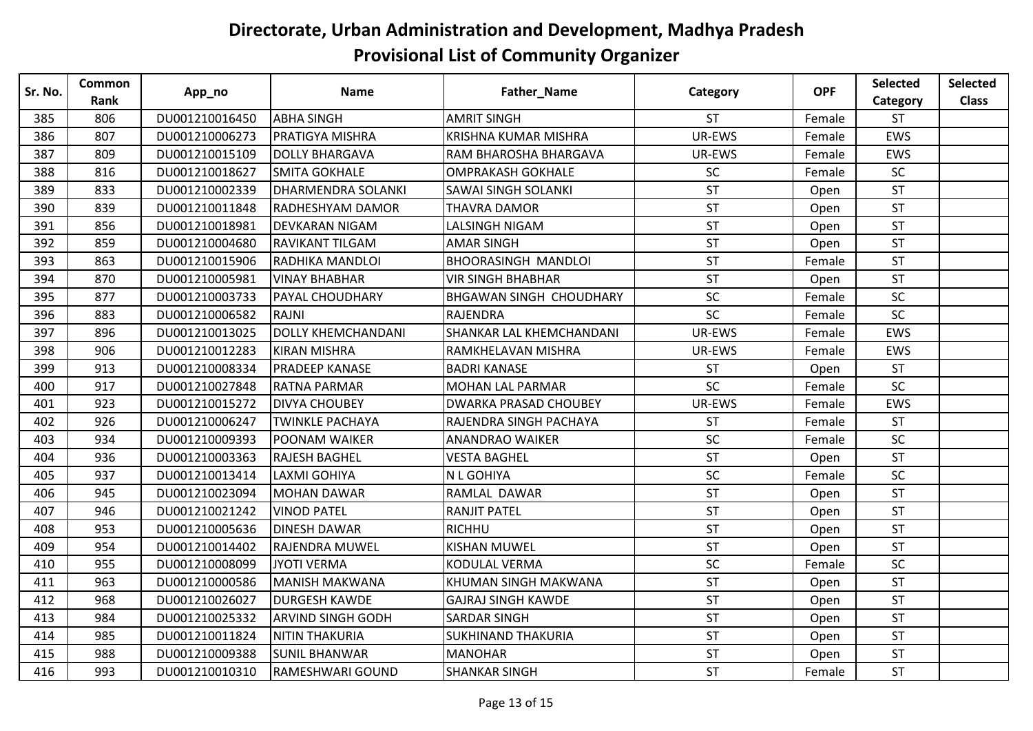| Sr. No. | <b>Common</b><br>Rank | App_no         | <b>Name</b>               | Father_Name                    | Category  | <b>OPF</b> | <b>Selected</b> | <b>Selected</b> |
|---------|-----------------------|----------------|---------------------------|--------------------------------|-----------|------------|-----------------|-----------------|
|         |                       |                |                           |                                |           |            | Category        | <b>Class</b>    |
| 385     | 806                   | DU001210016450 | <b>ABHA SINGH</b>         | <b>AMRIT SINGH</b>             | <b>ST</b> | Female     | <b>ST</b>       |                 |
| 386     | 807                   | DU001210006273 | <b>PRATIGYA MISHRA</b>    | <b>KRISHNA KUMAR MISHRA</b>    | UR-EWS    | Female     | EWS             |                 |
| 387     | 809                   | DU001210015109 | <b>DOLLY BHARGAVA</b>     | RAM BHAROSHA BHARGAVA          | UR-EWS    | Female     | EWS             |                 |
| 388     | 816                   | DU001210018627 | <b>SMITA GOKHALE</b>      | <b>OMPRAKASH GOKHALE</b>       | SC        | Female     | SC              |                 |
| 389     | 833                   | DU001210002339 | <b>DHARMENDRA SOLANKI</b> | <b>SAWAI SINGH SOLANKI</b>     | <b>ST</b> | Open       | <b>ST</b>       |                 |
| 390     | 839                   | DU001210011848 | RADHESHYAM DAMOR          | THAVRA DAMOR                   | <b>ST</b> | Open       | <b>ST</b>       |                 |
| 391     | 856                   | DU001210018981 | <b>DEVKARAN NIGAM</b>     | LALSINGH NIGAM                 | <b>ST</b> | Open       | <b>ST</b>       |                 |
| 392     | 859                   | DU001210004680 | <b>RAVIKANT TILGAM</b>    | <b>AMAR SINGH</b>              | <b>ST</b> | Open       | <b>ST</b>       |                 |
| 393     | 863                   | DU001210015906 | RADHIKA MANDLOI           | <b>BHOORASINGH MANDLOI</b>     | <b>ST</b> | Female     | <b>ST</b>       |                 |
| 394     | 870                   | DU001210005981 | <b>VINAY BHABHAR</b>      | <b>VIR SINGH BHABHAR</b>       | <b>ST</b> | Open       | <b>ST</b>       |                 |
| 395     | 877                   | DU001210003733 | PAYAL CHOUDHARY           | <b>BHGAWAN SINGH CHOUDHARY</b> | SC        | Female     | SC              |                 |
| 396     | 883                   | DU001210006582 | <b>RAJNI</b>              | RAJENDRA                       | SC        | Female     | SC              |                 |
| 397     | 896                   | DU001210013025 | <b>DOLLY KHEMCHANDANI</b> | SHANKAR LAL KHEMCHANDANI       | UR-EWS    | Female     | EWS             |                 |
| 398     | 906                   | DU001210012283 | <b>KIRAN MISHRA</b>       | RAMKHELAVAN MISHRA             | UR-EWS    | Female     | EWS             |                 |
| 399     | 913                   | DU001210008334 | <b>PRADEEP KANASE</b>     | <b>BADRI KANASE</b>            | <b>ST</b> | Open       | <b>ST</b>       |                 |
| 400     | 917                   | DU001210027848 | <b>RATNA PARMAR</b>       | <b>MOHAN LAL PARMAR</b>        | SC        | Female     | SC              |                 |
| 401     | 923                   | DU001210015272 | <b>DIVYA CHOUBEY</b>      | <b>DWARKA PRASAD CHOUBEY</b>   | UR-EWS    | Female     | EWS             |                 |
| 402     | 926                   | DU001210006247 | <b>TWINKLE PACHAYA</b>    | RAJENDRA SINGH PACHAYA         | <b>ST</b> | Female     | <b>ST</b>       |                 |
| 403     | 934                   | DU001210009393 | <b>POONAM WAIKER</b>      | <b>ANANDRAO WAIKER</b>         | SC        | Female     | SC              |                 |
| 404     | 936                   | DU001210003363 | <b>RAJESH BAGHEL</b>      | <b>VESTA BAGHEL</b>            | <b>ST</b> | Open       | <b>ST</b>       |                 |
| 405     | 937                   | DU001210013414 | <b>LAXMI GOHIYA</b>       | <b>N L GOHIYA</b>              | SC        | Female     | SC              |                 |
| 406     | 945                   | DU001210023094 | <b>MOHAN DAWAR</b>        | RAMLAL DAWAR                   | <b>ST</b> | Open       | <b>ST</b>       |                 |
| 407     | 946                   | DU001210021242 | <b>VINOD PATEL</b>        | <b>RANJIT PATEL</b>            | <b>ST</b> | Open       | <b>ST</b>       |                 |
| 408     | 953                   | DU001210005636 | <b>DINESH DAWAR</b>       | RICHHU                         | <b>ST</b> | Open       | <b>ST</b>       |                 |
| 409     | 954                   | DU001210014402 | <b>RAJENDRA MUWEL</b>     | <b>KISHAN MUWEL</b>            | <b>ST</b> | Open       | <b>ST</b>       |                 |
| 410     | 955                   | DU001210008099 | <b>JYOTI VERMA</b>        | KODULAL VERMA                  | SC        | Female     | SC              |                 |
| 411     | 963                   | DU001210000586 | <b>MANISH MAKWANA</b>     | KHUMAN SINGH MAKWANA           | <b>ST</b> | Open       | <b>ST</b>       |                 |
| 412     | 968                   | DU001210026027 | <b>DURGESH KAWDE</b>      | <b>GAJRAJ SINGH KAWDE</b>      | <b>ST</b> | Open       | <b>ST</b>       |                 |
| 413     | 984                   | DU001210025332 | <b>ARVIND SINGH GODH</b>  | <b>SARDAR SINGH</b>            | <b>ST</b> | Open       | <b>ST</b>       |                 |
| 414     | 985                   | DU001210011824 | <b>NITIN THAKURIA</b>     | <b>SUKHINAND THAKURIA</b>      | <b>ST</b> | Open       | <b>ST</b>       |                 |
| 415     | 988                   | DU001210009388 | <b>SUNIL BHANWAR</b>      | <b>MANOHAR</b>                 | <b>ST</b> | Open       | <b>ST</b>       |                 |
| 416     | 993                   | DU001210010310 | RAMESHWARI GOUND          | <b>SHANKAR SINGH</b>           | <b>ST</b> | Female     | <b>ST</b>       |                 |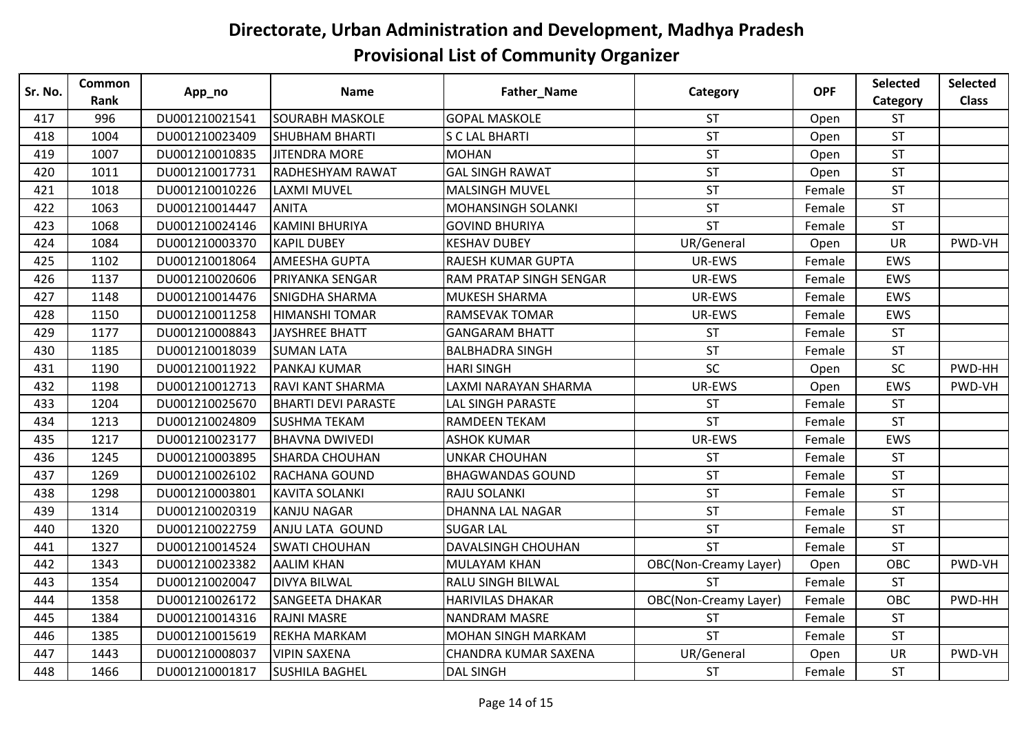| Sr. No. | Common | App_no         | <b>Name</b>                | Father_Name                    | Category                     | <b>OPF</b> | Selected   | <b>Selected</b> |
|---------|--------|----------------|----------------------------|--------------------------------|------------------------------|------------|------------|-----------------|
|         | Rank   |                |                            |                                |                              |            | Category   | <b>Class</b>    |
| 417     | 996    | DU001210021541 | <b>SOURABH MASKOLE</b>     | <b>GOPAL MASKOLE</b>           | <b>ST</b>                    | Open       | <b>ST</b>  |                 |
| 418     | 1004   | DU001210023409 | <b>SHUBHAM BHARTI</b>      | <b>S C LAL BHARTI</b>          | <b>ST</b>                    | Open       | <b>ST</b>  |                 |
| 419     | 1007   | DU001210010835 | <b>JITENDRA MORE</b>       | <b>MOHAN</b>                   | <b>ST</b>                    | Open       | <b>ST</b>  |                 |
| 420     | 1011   | DU001210017731 | RADHESHYAM RAWAT           | <b>GAL SINGH RAWAT</b>         | <b>ST</b>                    | Open       | <b>ST</b>  |                 |
| 421     | 1018   | DU001210010226 | <b>LAXMI MUVEL</b>         | <b>MALSINGH MUVEL</b>          | <b>ST</b>                    | Female     | <b>ST</b>  |                 |
| 422     | 1063   | DU001210014447 | <b>ANITA</b>               | <b>MOHANSINGH SOLANKI</b>      | <b>ST</b>                    | Female     | <b>ST</b>  |                 |
| 423     | 1068   | DU001210024146 | <b>KAMINI BHURIYA</b>      | <b>GOVIND BHURIYA</b>          | <b>ST</b>                    | Female     | <b>ST</b>  |                 |
| 424     | 1084   | DU001210003370 | <b>KAPIL DUBEY</b>         | <b>KESHAV DUBEY</b>            | UR/General                   | Open       | <b>UR</b>  | PWD-VH          |
| 425     | 1102   | DU001210018064 | <b>AMEESHA GUPTA</b>       | <b>RAJESH KUMAR GUPTA</b>      | UR-EWS                       | Female     | <b>EWS</b> |                 |
| 426     | 1137   | DU001210020606 | PRIYANKA SENGAR            | <b>RAM PRATAP SINGH SENGAR</b> | UR-EWS                       | Female     | EWS        |                 |
| 427     | 1148   | DU001210014476 | <b>SNIGDHA SHARMA</b>      | <b>MUKESH SHARMA</b>           | UR-EWS                       | Female     | <b>EWS</b> |                 |
| 428     | 1150   | DU001210011258 | <b>HIMANSHI TOMAR</b>      | <b>RAMSEVAK TOMAR</b>          | UR-EWS                       | Female     | <b>EWS</b> |                 |
| 429     | 1177   | DU001210008843 | <b>JAYSHREE BHATT</b>      | <b>GANGARAM BHATT</b>          | <b>ST</b>                    | Female     | <b>ST</b>  |                 |
| 430     | 1185   | DU001210018039 | <b>SUMAN LATA</b>          | <b>BALBHADRA SINGH</b>         | <b>ST</b>                    | Female     | <b>ST</b>  |                 |
| 431     | 1190   | DU001210011922 | PANKAJ KUMAR               | <b>HARI SINGH</b>              | SC                           | Open       | SC         | PWD-HH          |
| 432     | 1198   | DU001210012713 | <b>RAVI KANT SHARMA</b>    | LAXMI NARAYAN SHARMA           | UR-EWS                       | Open       | EWS        | PWD-VH          |
| 433     | 1204   | DU001210025670 | <b>BHARTI DEVI PARASTE</b> | <b>LAL SINGH PARASTE</b>       | <b>ST</b>                    | Female     | <b>ST</b>  |                 |
| 434     | 1213   | DU001210024809 | <b>SUSHMA TEKAM</b>        | <b>RAMDEEN TEKAM</b>           | <b>ST</b>                    | Female     | <b>ST</b>  |                 |
| 435     | 1217   | DU001210023177 | <b>BHAVNA DWIVEDI</b>      | <b>ASHOK KUMAR</b>             | UR-EWS                       | Female     | <b>EWS</b> |                 |
| 436     | 1245   | DU001210003895 | <b>SHARDA CHOUHAN</b>      | <b>UNKAR CHOUHAN</b>           | <b>ST</b>                    | Female     | <b>ST</b>  |                 |
| 437     | 1269   | DU001210026102 | RACHANA GOUND              | <b>BHAGWANDAS GOUND</b>        | <b>ST</b>                    | Female     | <b>ST</b>  |                 |
| 438     | 1298   | DU001210003801 | <b>KAVITA SOLANKI</b>      | RAJU SOLANKI                   | <b>ST</b>                    | Female     | <b>ST</b>  |                 |
| 439     | 1314   | DU001210020319 | <b>KANJU NAGAR</b>         | <b>DHANNA LAL NAGAR</b>        | <b>ST</b>                    | Female     | <b>ST</b>  |                 |
| 440     | 1320   | DU001210022759 | ANJU LATA GOUND            | <b>SUGAR LAL</b>               | <b>ST</b>                    | Female     | <b>ST</b>  |                 |
| 441     | 1327   | DU001210014524 | <b>SWATI CHOUHAN</b>       | <b>DAVALSINGH CHOUHAN</b>      | <b>ST</b>                    | Female     | ST         |                 |
| 442     | 1343   | DU001210023382 | <b>AALIM KHAN</b>          | <b>MULAYAM KHAN</b>            | <b>OBC(Non-Creamy Layer)</b> | Open       | OBC        | PWD-VH          |
| 443     | 1354   | DU001210020047 | <b>DIVYA BILWAL</b>        | <b>RALU SINGH BILWAL</b>       | <b>ST</b>                    | Female     | <b>ST</b>  |                 |
| 444     | 1358   | DU001210026172 | <b>SANGEETA DHAKAR</b>     | <b>HARIVILAS DHAKAR</b>        | <b>OBC(Non-Creamy Layer)</b> | Female     | OBC        | PWD-HH          |
| 445     | 1384   | DU001210014316 | <b>RAJNI MASRE</b>         | <b>NANDRAM MASRE</b>           | <b>ST</b>                    | Female     | <b>ST</b>  |                 |
| 446     | 1385   | DU001210015619 | REKHA MARKAM               | <b>MOHAN SINGH MARKAM</b>      | <b>ST</b>                    | Female     | <b>ST</b>  |                 |
| 447     | 1443   | DU001210008037 | <b>VIPIN SAXENA</b>        | CHANDRA KUMAR SAXENA           | UR/General                   | Open       | UR         | PWD-VH          |
| 448     | 1466   | DU001210001817 | <b>SUSHILA BAGHEL</b>      | <b>DAL SINGH</b>               | <b>ST</b>                    | Female     | <b>ST</b>  |                 |